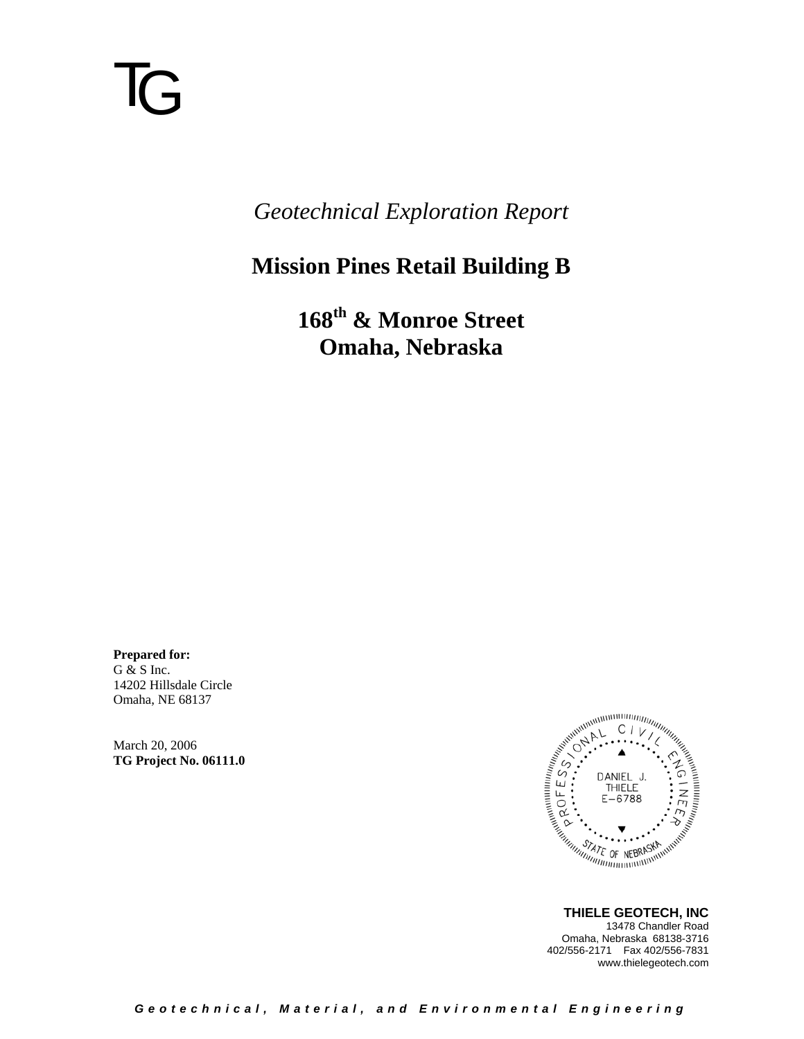# TG

*Geotechnical Exploration Report* 

### **Mission Pines Retail Building B**

**168th & Monroe Street Omaha, Nebraska** 

**Prepared for:**  G & S Inc. 14202 Hillsdale Circle Omaha, NE 68137

March 20, 2006 **TG Project No. 06111.0** 



 **THIELE GEOTECH, INC** 13478 Chandler Road Omaha, Nebraska 68138-3716 402/556-2171 Fax 402/556-7831 www.thielegeotech.com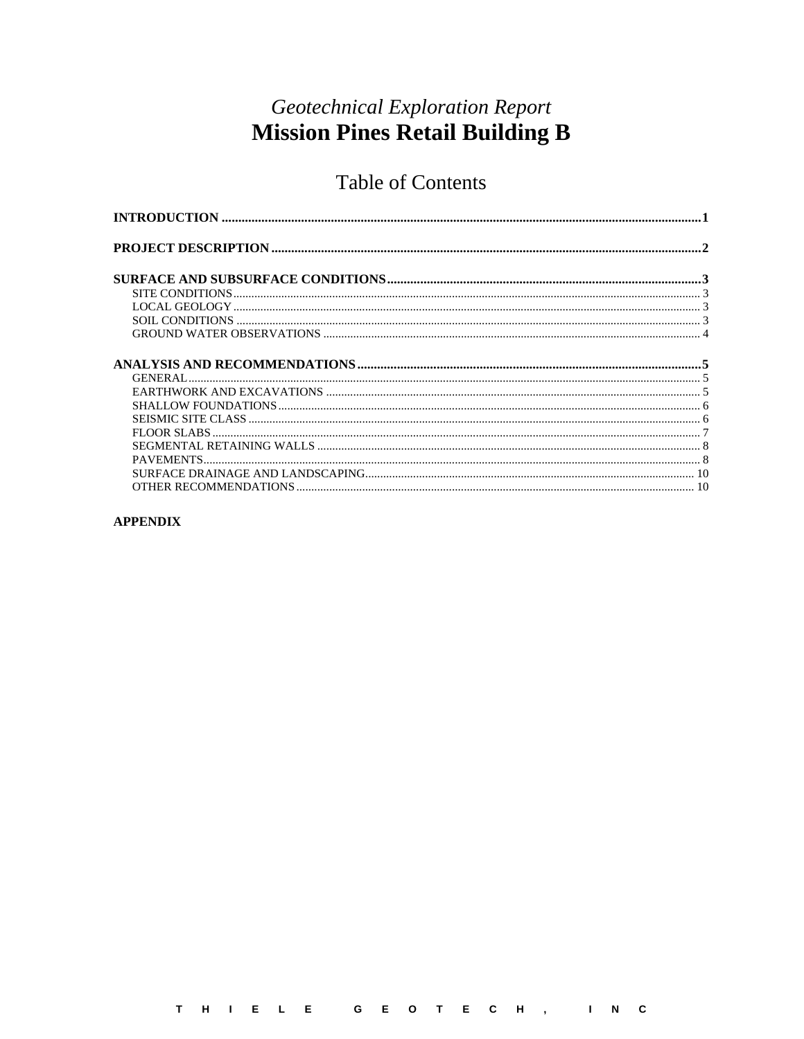#### **Geotechnical Exploration Report Mission Pines Retail Building B**

#### **Table of Contents**

#### **APPENDIX**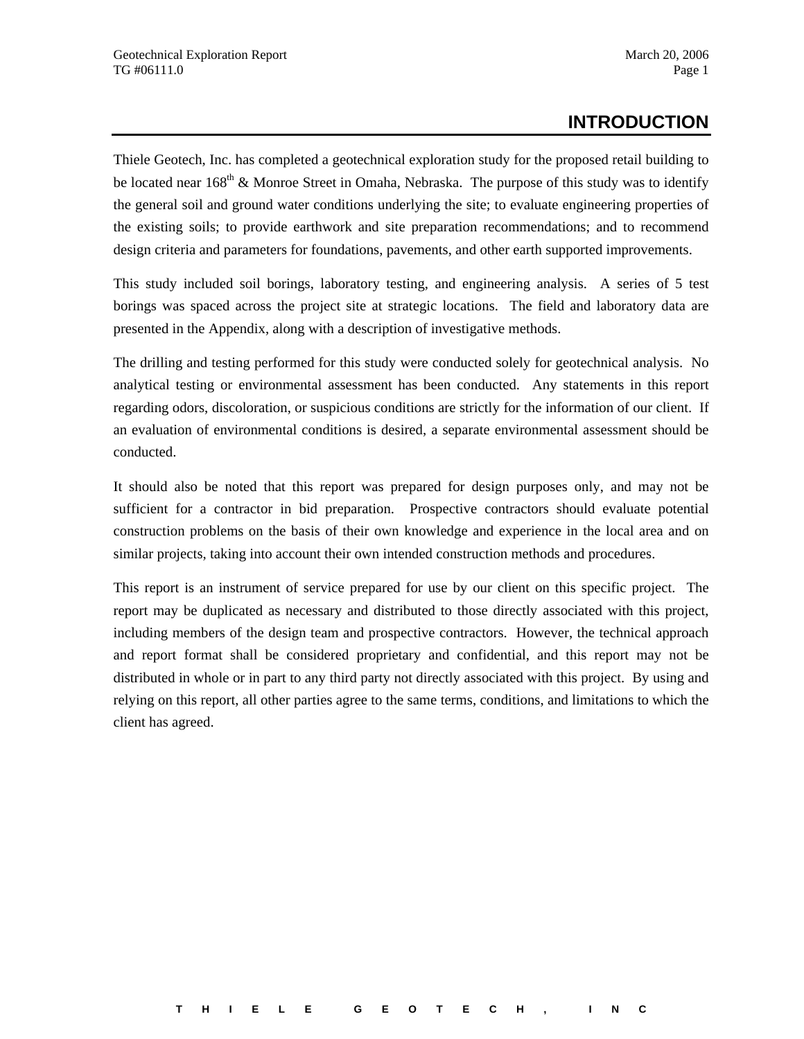#### **INTRODUCTION**

Thiele Geotech, Inc. has completed a geotechnical exploration study for the proposed retail building to be located near  $168<sup>th</sup>$  & Monroe Street in Omaha, Nebraska. The purpose of this study was to identify the general soil and ground water conditions underlying the site; to evaluate engineering properties of the existing soils; to provide earthwork and site preparation recommendations; and to recommend design criteria and parameters for foundations, pavements, and other earth supported improvements.

This study included soil borings, laboratory testing, and engineering analysis. A series of 5 test borings was spaced across the project site at strategic locations. The field and laboratory data are presented in the Appendix, along with a description of investigative methods.

The drilling and testing performed for this study were conducted solely for geotechnical analysis. No analytical testing or environmental assessment has been conducted. Any statements in this report regarding odors, discoloration, or suspicious conditions are strictly for the information of our client. If an evaluation of environmental conditions is desired, a separate environmental assessment should be conducted.

It should also be noted that this report was prepared for design purposes only, and may not be sufficient for a contractor in bid preparation. Prospective contractors should evaluate potential construction problems on the basis of their own knowledge and experience in the local area and on similar projects, taking into account their own intended construction methods and procedures.

This report is an instrument of service prepared for use by our client on this specific project. The report may be duplicated as necessary and distributed to those directly associated with this project, including members of the design team and prospective contractors. However, the technical approach and report format shall be considered proprietary and confidential, and this report may not be distributed in whole or in part to any third party not directly associated with this project. By using and relying on this report, all other parties agree to the same terms, conditions, and limitations to which the client has agreed.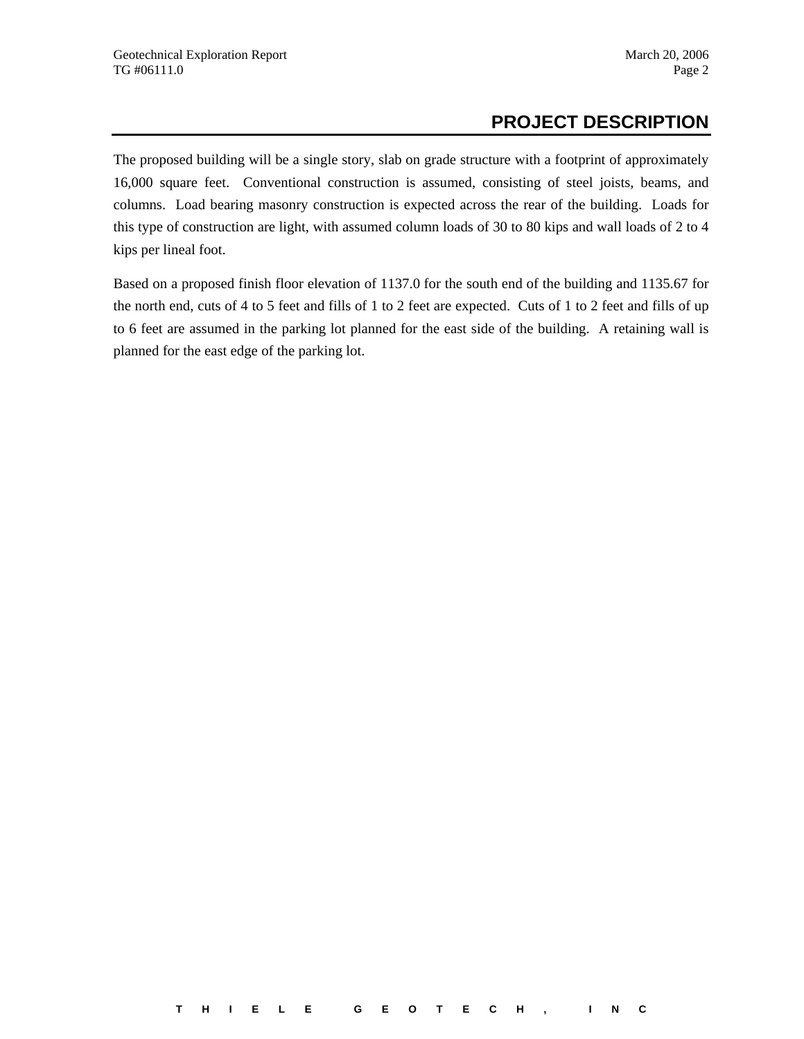#### **PROJECT DESCRIPTION**

The proposed building will be a single story, slab on grade structure with a footprint of approximately 16,000 square feet. Conventional construction is assumed, consisting of steel joists, beams, and columns. Load bearing masonry construction is expected across the rear of the building. Loads for this type of construction are light, with assumed column loads of 30 to 80 kips and wall loads of 2 to 4 kips per lineal foot.

Based on a proposed finish floor elevation of 1137.0 for the south end of the building and 1135.67 for the north end, cuts of 4 to 5 feet and fills of 1 to 2 feet are expected. Cuts of 1 to 2 feet and fills of up to 6 feet are assumed in the parking lot planned for the east side of the building. A retaining wall is planned for the east edge of the parking lot.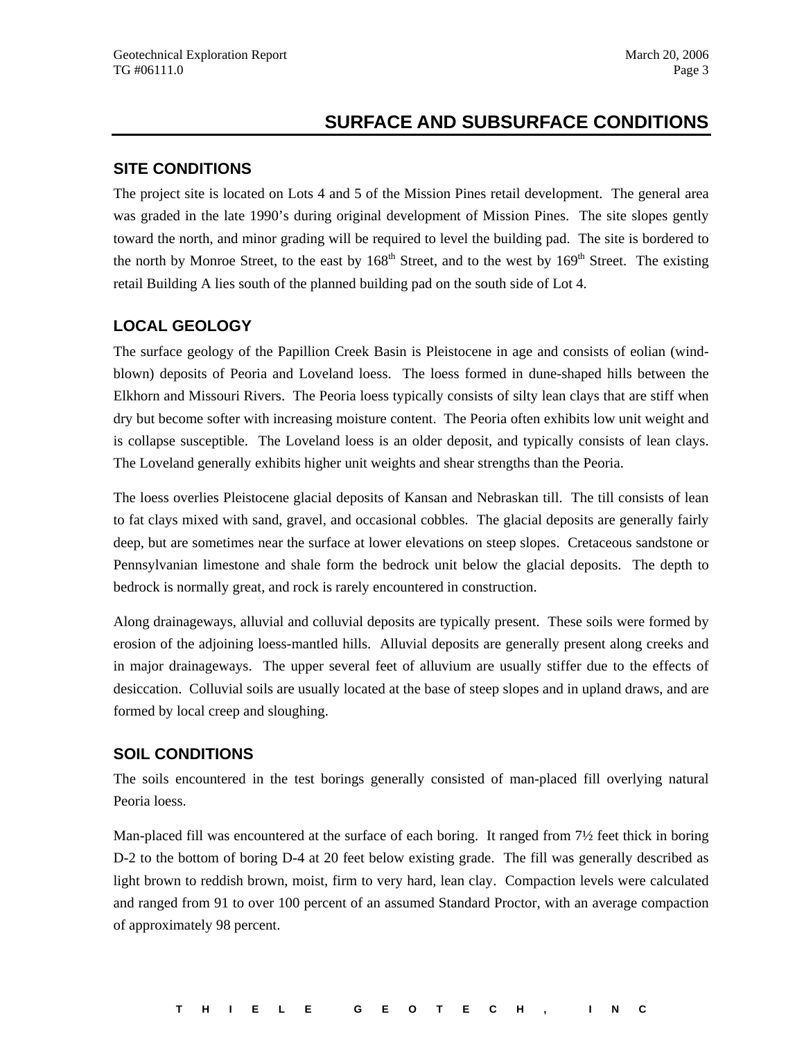#### **SURFACE AND SUBSURFACE CONDITIONS**

#### **SITE CONDITIONS**

The project site is located on Lots 4 and 5 of the Mission Pines retail development. The general area was graded in the late 1990's during original development of Mission Pines. The site slopes gently toward the north, and minor grading will be required to level the building pad. The site is bordered to the north by Monroe Street, to the east by  $168<sup>th</sup>$  Street, and to the west by  $169<sup>th</sup>$  Street. The existing retail Building A lies south of the planned building pad on the south side of Lot 4.

#### **LOCAL GEOLOGY**

The surface geology of the Papillion Creek Basin is Pleistocene in age and consists of eolian (windblown) deposits of Peoria and Loveland loess. The loess formed in dune-shaped hills between the Elkhorn and Missouri Rivers. The Peoria loess typically consists of silty lean clays that are stiff when dry but become softer with increasing moisture content. The Peoria often exhibits low unit weight and is collapse susceptible. The Loveland loess is an older deposit, and typically consists of lean clays. The Loveland generally exhibits higher unit weights and shear strengths than the Peoria.

The loess overlies Pleistocene glacial deposits of Kansan and Nebraskan till. The till consists of lean to fat clays mixed with sand, gravel, and occasional cobbles. The glacial deposits are generally fairly deep, but are sometimes near the surface at lower elevations on steep slopes. Cretaceous sandstone or Pennsylvanian limestone and shale form the bedrock unit below the glacial deposits. The depth to bedrock is normally great, and rock is rarely encountered in construction.

Along drainageways, alluvial and colluvial deposits are typically present. These soils were formed by erosion of the adjoining loess-mantled hills. Alluvial deposits are generally present along creeks and in major drainageways. The upper several feet of alluvium are usually stiffer due to the effects of desiccation. Colluvial soils are usually located at the base of steep slopes and in upland draws, and are formed by local creep and sloughing.

#### **SOIL CONDITIONS**

The soils encountered in the test borings generally consisted of man-placed fill overlying natural Peoria loess.

Man-placed fill was encountered at the surface of each boring. It ranged from  $7\frac{1}{2}$  feet thick in boring D-2 to the bottom of boring D-4 at 20 feet below existing grade. The fill was generally described as light brown to reddish brown, moist, firm to very hard, lean clay. Compaction levels were calculated and ranged from 91 to over 100 percent of an assumed Standard Proctor, with an average compaction of approximately 98 percent.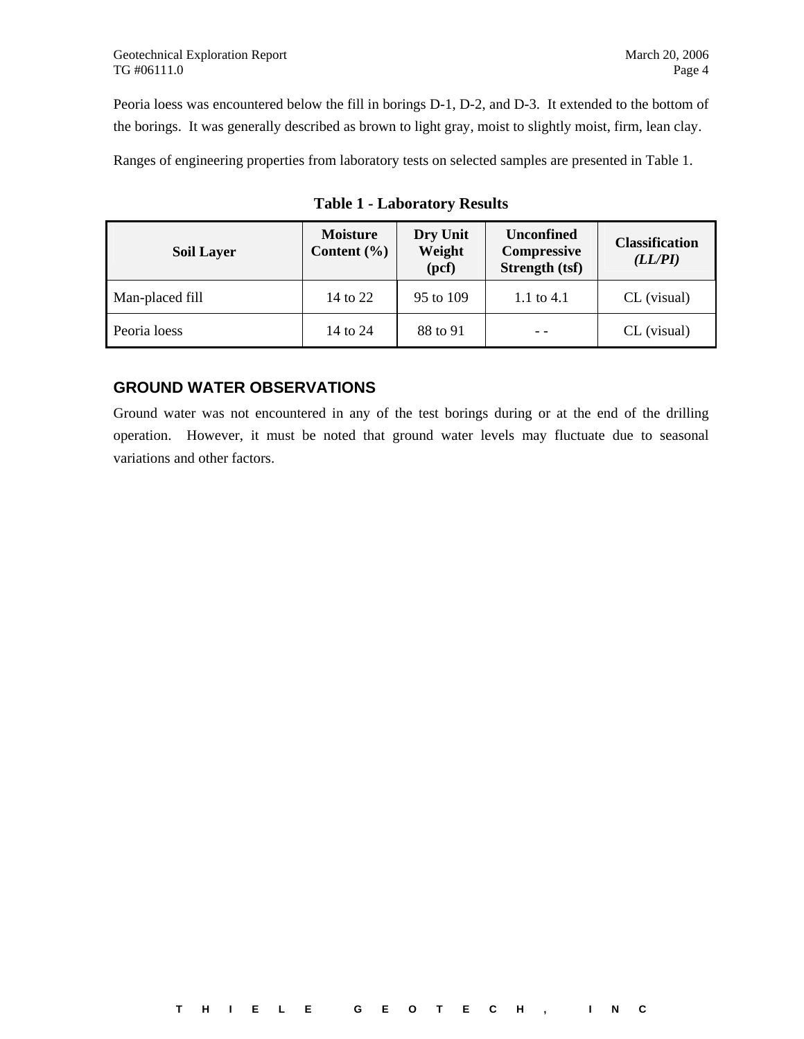Peoria loess was encountered below the fill in borings D-1, D-2, and D-3. It extended to the bottom of the borings. It was generally described as brown to light gray, moist to slightly moist, firm, lean clay.

Ranges of engineering properties from laboratory tests on selected samples are presented in Table 1.

| <b>Soil Layer</b> | <b>Moisture</b><br>Content $(\% )$ | Dry Unit<br>Weight<br>(pcf) | <b>Unconfined</b><br><b>Compressive</b><br>Strength (tsf) | <b>Classification</b><br>(LL/PI) |
|-------------------|------------------------------------|-----------------------------|-----------------------------------------------------------|----------------------------------|
| Man-placed fill   | 14 to 22                           | 95 to 109                   | 1.1 to 4.1                                                | CL (visual)                      |
| Peoria loess      | 14 to 24                           | 88 to 91                    |                                                           | CL (visual)                      |

**Table 1 - Laboratory Results** 

#### **GROUND WATER OBSERVATIONS**

Ground water was not encountered in any of the test borings during or at the end of the drilling operation. However, it must be noted that ground water levels may fluctuate due to seasonal variations and other factors.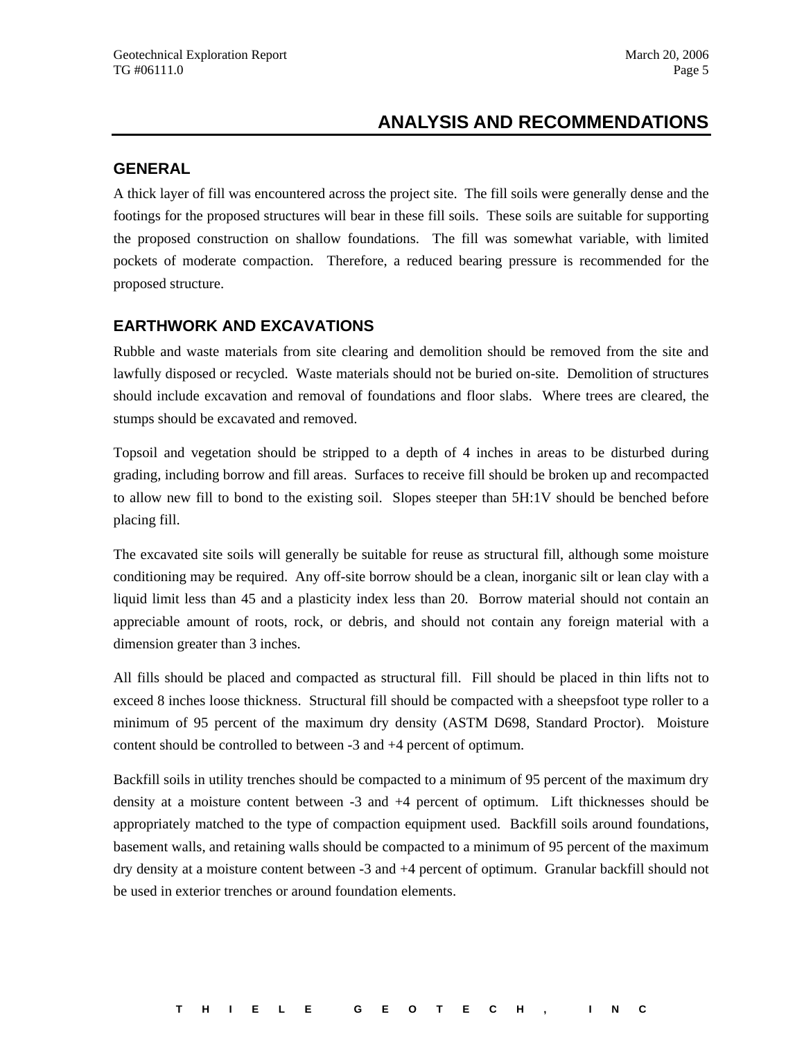#### **ANALYSIS AND RECOMMENDATIONS**

#### **GENERAL**

A thick layer of fill was encountered across the project site. The fill soils were generally dense and the footings for the proposed structures will bear in these fill soils. These soils are suitable for supporting the proposed construction on shallow foundations. The fill was somewhat variable, with limited pockets of moderate compaction. Therefore, a reduced bearing pressure is recommended for the proposed structure.

#### **EARTHWORK AND EXCAVATIONS**

Rubble and waste materials from site clearing and demolition should be removed from the site and lawfully disposed or recycled. Waste materials should not be buried on-site. Demolition of structures should include excavation and removal of foundations and floor slabs. Where trees are cleared, the stumps should be excavated and removed.

Topsoil and vegetation should be stripped to a depth of 4 inches in areas to be disturbed during grading, including borrow and fill areas. Surfaces to receive fill should be broken up and recompacted to allow new fill to bond to the existing soil. Slopes steeper than 5H:1V should be benched before placing fill.

The excavated site soils will generally be suitable for reuse as structural fill, although some moisture conditioning may be required. Any off-site borrow should be a clean, inorganic silt or lean clay with a liquid limit less than 45 and a plasticity index less than 20. Borrow material should not contain an appreciable amount of roots, rock, or debris, and should not contain any foreign material with a dimension greater than 3 inches.

All fills should be placed and compacted as structural fill. Fill should be placed in thin lifts not to exceed 8 inches loose thickness. Structural fill should be compacted with a sheepsfoot type roller to a minimum of 95 percent of the maximum dry density (ASTM D698, Standard Proctor). Moisture content should be controlled to between -3 and +4 percent of optimum.

Backfill soils in utility trenches should be compacted to a minimum of 95 percent of the maximum dry density at a moisture content between -3 and +4 percent of optimum. Lift thicknesses should be appropriately matched to the type of compaction equipment used. Backfill soils around foundations, basement walls, and retaining walls should be compacted to a minimum of 95 percent of the maximum dry density at a moisture content between -3 and +4 percent of optimum. Granular backfill should not be used in exterior trenches or around foundation elements.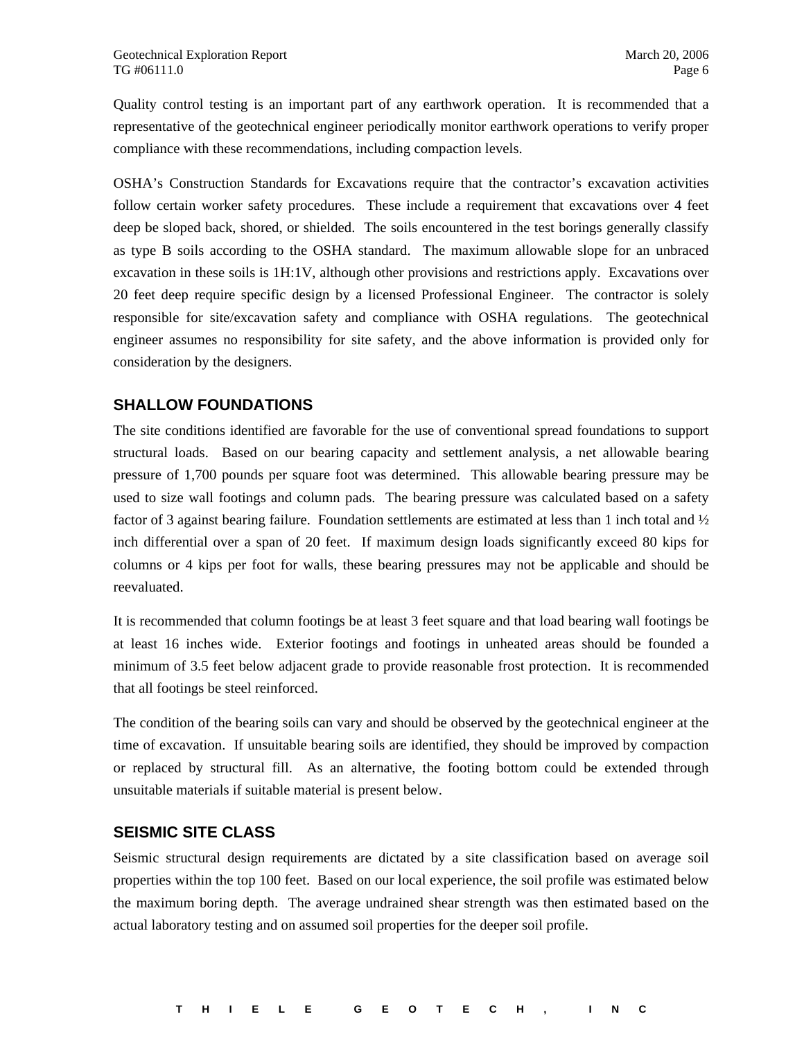Quality control testing is an important part of any earthwork operation. It is recommended that a representative of the geotechnical engineer periodically monitor earthwork operations to verify proper compliance with these recommendations, including compaction levels.

OSHA's Construction Standards for Excavations require that the contractor's excavation activities follow certain worker safety procedures. These include a requirement that excavations over 4 feet deep be sloped back, shored, or shielded. The soils encountered in the test borings generally classify as type B soils according to the OSHA standard. The maximum allowable slope for an unbraced excavation in these soils is 1H:1V, although other provisions and restrictions apply. Excavations over 20 feet deep require specific design by a licensed Professional Engineer. The contractor is solely responsible for site/excavation safety and compliance with OSHA regulations. The geotechnical engineer assumes no responsibility for site safety, and the above information is provided only for consideration by the designers.

#### **SHALLOW FOUNDATIONS**

The site conditions identified are favorable for the use of conventional spread foundations to support structural loads. Based on our bearing capacity and settlement analysis, a net allowable bearing pressure of 1,700 pounds per square foot was determined. This allowable bearing pressure may be used to size wall footings and column pads. The bearing pressure was calculated based on a safety factor of 3 against bearing failure. Foundation settlements are estimated at less than 1 inch total and  $\frac{1}{2}$ inch differential over a span of 20 feet. If maximum design loads significantly exceed 80 kips for columns or 4 kips per foot for walls, these bearing pressures may not be applicable and should be reevaluated.

It is recommended that column footings be at least 3 feet square and that load bearing wall footings be at least 16 inches wide. Exterior footings and footings in unheated areas should be founded a minimum of 3.5 feet below adjacent grade to provide reasonable frost protection. It is recommended that all footings be steel reinforced.

The condition of the bearing soils can vary and should be observed by the geotechnical engineer at the time of excavation. If unsuitable bearing soils are identified, they should be improved by compaction or replaced by structural fill. As an alternative, the footing bottom could be extended through unsuitable materials if suitable material is present below.

#### **SEISMIC SITE CLASS**

Seismic structural design requirements are dictated by a site classification based on average soil properties within the top 100 feet. Based on our local experience, the soil profile was estimated below the maximum boring depth. The average undrained shear strength was then estimated based on the actual laboratory testing and on assumed soil properties for the deeper soil profile.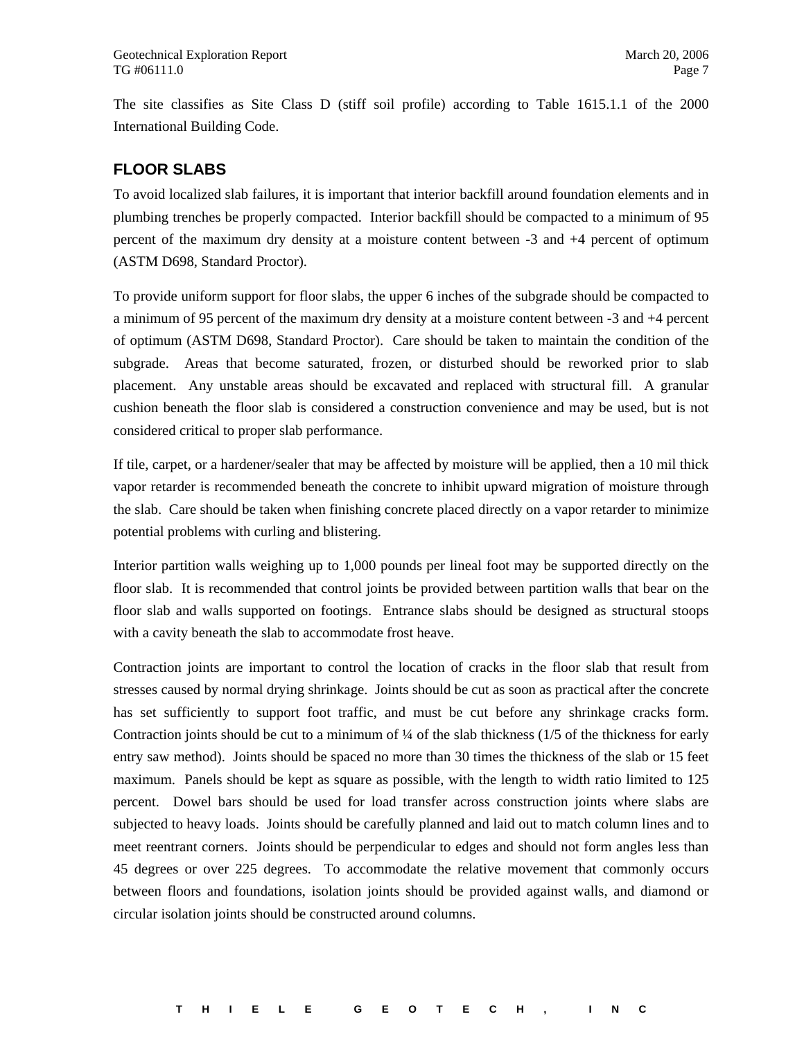The site classifies as Site Class D (stiff soil profile) according to Table 1615.1.1 of the 2000 International Building Code.

#### **FLOOR SLABS**

To avoid localized slab failures, it is important that interior backfill around foundation elements and in plumbing trenches be properly compacted. Interior backfill should be compacted to a minimum of 95 percent of the maximum dry density at a moisture content between -3 and +4 percent of optimum (ASTM D698, Standard Proctor).

To provide uniform support for floor slabs, the upper 6 inches of the subgrade should be compacted to a minimum of 95 percent of the maximum dry density at a moisture content between -3 and +4 percent of optimum (ASTM D698, Standard Proctor). Care should be taken to maintain the condition of the subgrade. Areas that become saturated, frozen, or disturbed should be reworked prior to slab placement. Any unstable areas should be excavated and replaced with structural fill. A granular cushion beneath the floor slab is considered a construction convenience and may be used, but is not considered critical to proper slab performance.

If tile, carpet, or a hardener/sealer that may be affected by moisture will be applied, then a 10 mil thick vapor retarder is recommended beneath the concrete to inhibit upward migration of moisture through the slab. Care should be taken when finishing concrete placed directly on a vapor retarder to minimize potential problems with curling and blistering.

Interior partition walls weighing up to 1,000 pounds per lineal foot may be supported directly on the floor slab. It is recommended that control joints be provided between partition walls that bear on the floor slab and walls supported on footings. Entrance slabs should be designed as structural stoops with a cavity beneath the slab to accommodate frost heave.

Contraction joints are important to control the location of cracks in the floor slab that result from stresses caused by normal drying shrinkage. Joints should be cut as soon as practical after the concrete has set sufficiently to support foot traffic, and must be cut before any shrinkage cracks form. Contraction joints should be cut to a minimum of  $\frac{1}{4}$  of the slab thickness (1/5 of the thickness for early entry saw method). Joints should be spaced no more than 30 times the thickness of the slab or 15 feet maximum. Panels should be kept as square as possible, with the length to width ratio limited to 125 percent. Dowel bars should be used for load transfer across construction joints where slabs are subjected to heavy loads. Joints should be carefully planned and laid out to match column lines and to meet reentrant corners. Joints should be perpendicular to edges and should not form angles less than 45 degrees or over 225 degrees. To accommodate the relative movement that commonly occurs between floors and foundations, isolation joints should be provided against walls, and diamond or circular isolation joints should be constructed around columns.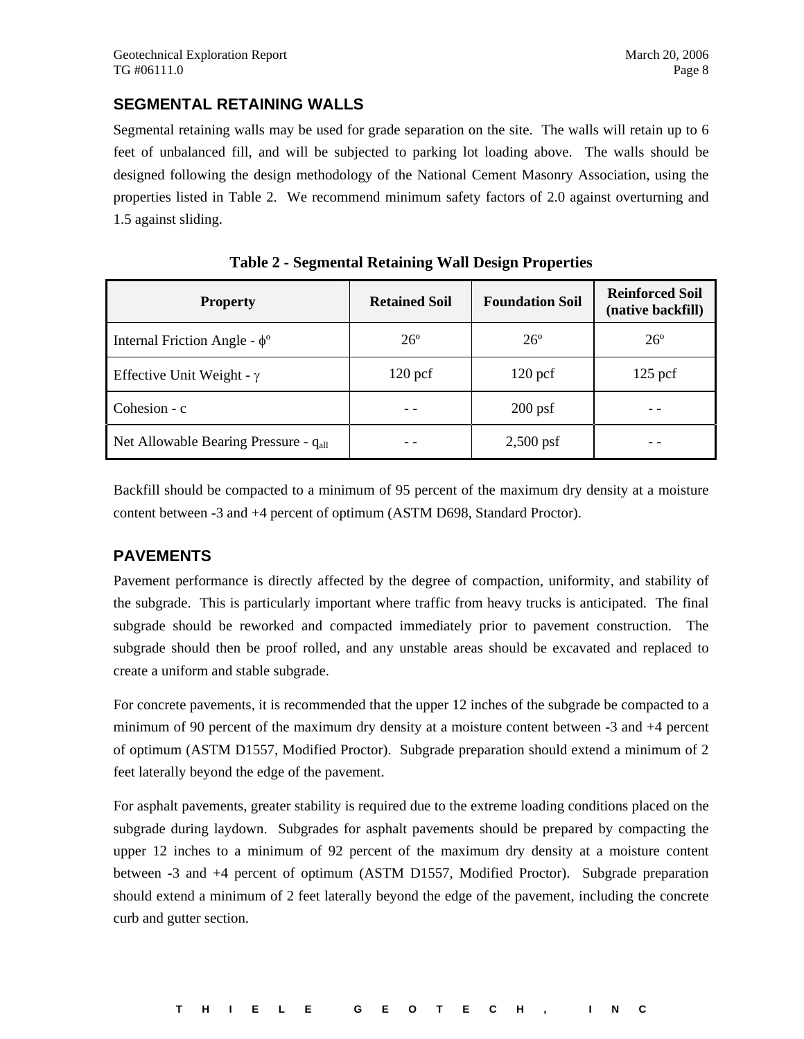#### **SEGMENTAL RETAINING WALLS**

Segmental retaining walls may be used for grade separation on the site. The walls will retain up to 6 feet of unbalanced fill, and will be subjected to parking lot loading above. The walls should be designed following the design methodology of the National Cement Masonry Association, using the properties listed in Table 2. We recommend minimum safety factors of 2.0 against overturning and 1.5 against sliding.

| <b>Property</b>                                   | <b>Retained Soil</b> | <b>Foundation Soil</b> | <b>Reinforced Soil</b><br>(native backfill) |
|---------------------------------------------------|----------------------|------------------------|---------------------------------------------|
| Internal Friction Angle - $\phi^{\circ}$          | $26^\circ$           | $26^\circ$             | $26^\circ$                                  |
| Effective Unit Weight - $\gamma$                  | $120$ pcf            | $120$ pcf              | $125$ pcf                                   |
| Cohesion - c                                      |                      | $200$ psf              |                                             |
| Net Allowable Bearing Pressure - q <sub>all</sub> |                      | $2,500$ psf            |                                             |

**Table 2 - Segmental Retaining Wall Design Properties** 

Backfill should be compacted to a minimum of 95 percent of the maximum dry density at a moisture content between -3 and +4 percent of optimum (ASTM D698, Standard Proctor).

#### **PAVEMENTS**

Pavement performance is directly affected by the degree of compaction, uniformity, and stability of the subgrade. This is particularly important where traffic from heavy trucks is anticipated. The final subgrade should be reworked and compacted immediately prior to pavement construction. The subgrade should then be proof rolled, and any unstable areas should be excavated and replaced to create a uniform and stable subgrade.

For concrete pavements, it is recommended that the upper 12 inches of the subgrade be compacted to a minimum of 90 percent of the maximum dry density at a moisture content between -3 and +4 percent of optimum (ASTM D1557, Modified Proctor). Subgrade preparation should extend a minimum of 2 feet laterally beyond the edge of the pavement.

For asphalt pavements, greater stability is required due to the extreme loading conditions placed on the subgrade during laydown. Subgrades for asphalt pavements should be prepared by compacting the upper 12 inches to a minimum of 92 percent of the maximum dry density at a moisture content between -3 and +4 percent of optimum (ASTM D1557, Modified Proctor). Subgrade preparation should extend a minimum of 2 feet laterally beyond the edge of the pavement, including the concrete curb and gutter section.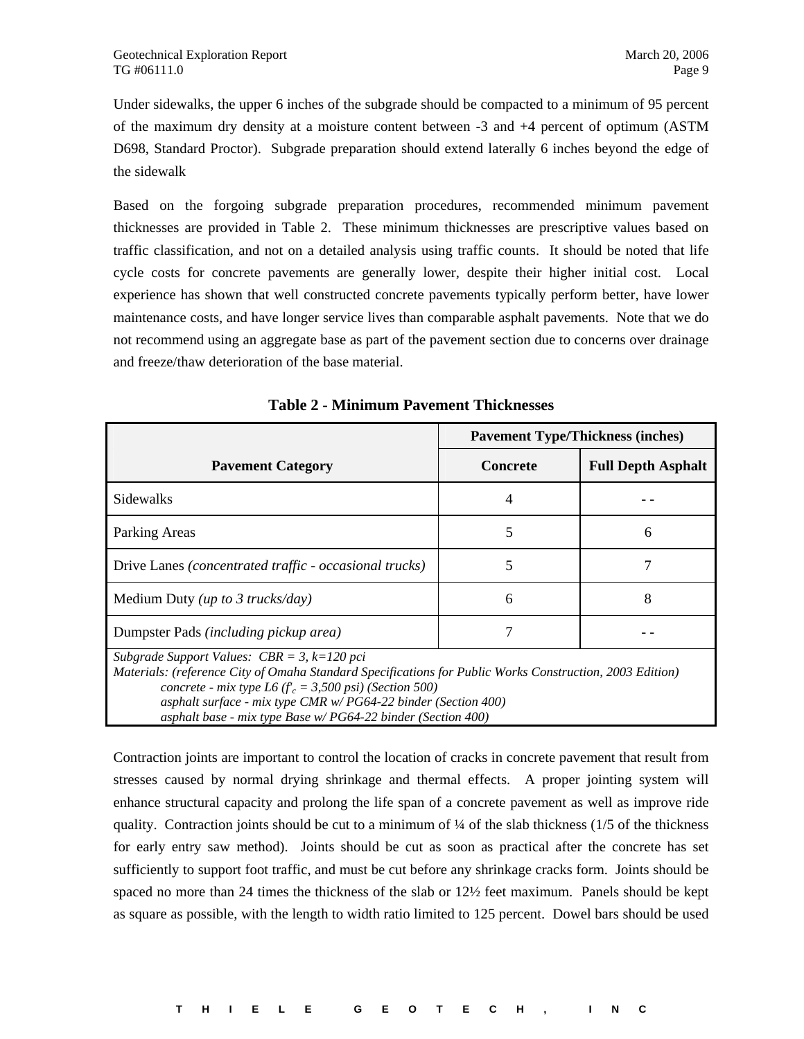Under sidewalks, the upper 6 inches of the subgrade should be compacted to a minimum of 95 percent of the maximum dry density at a moisture content between -3 and +4 percent of optimum (ASTM D698, Standard Proctor). Subgrade preparation should extend laterally 6 inches beyond the edge of the sidewalk

Based on the forgoing subgrade preparation procedures, recommended minimum pavement thicknesses are provided in Table 2. These minimum thicknesses are prescriptive values based on traffic classification, and not on a detailed analysis using traffic counts. It should be noted that life cycle costs for concrete pavements are generally lower, despite their higher initial cost. Local experience has shown that well constructed concrete pavements typically perform better, have lower maintenance costs, and have longer service lives than comparable asphalt pavements. Note that we do not recommend using an aggregate base as part of the pavement section due to concerns over drainage and freeze/thaw deterioration of the base material.

|                                                                                                                                                                                                                                                                                                                                                               | <b>Pavement Type/Thickness (inches)</b> |                           |
|---------------------------------------------------------------------------------------------------------------------------------------------------------------------------------------------------------------------------------------------------------------------------------------------------------------------------------------------------------------|-----------------------------------------|---------------------------|
| <b>Pavement Category</b>                                                                                                                                                                                                                                                                                                                                      | <b>Concrete</b>                         | <b>Full Depth Asphalt</b> |
| <b>Sidewalks</b>                                                                                                                                                                                                                                                                                                                                              | 4                                       |                           |
| Parking Areas                                                                                                                                                                                                                                                                                                                                                 | 5                                       | 6                         |
| Drive Lanes (concentrated traffic - occasional trucks)                                                                                                                                                                                                                                                                                                        | 5                                       |                           |
| Medium Duty ( <i>up to 3 trucks/day</i> )                                                                                                                                                                                                                                                                                                                     | 6                                       | 8                         |
| Dumpster Pads (including pickup area)                                                                                                                                                                                                                                                                                                                         | 7                                       |                           |
| Subgrade Support Values: $CBR = 3$ , $k=120$ pci<br>Materials: (reference City of Omaha Standard Specifications for Public Works Construction, 2003 Edition)<br>concrete - mix type L6 ( $f_c$ = 3,500 psi) (Section 500)<br>asphalt surface - mix type CMR $w$ /PG64-22 binder (Section 400)<br>asphalt base - mix type Base w/ PG64-22 binder (Section 400) |                                         |                           |

**Table 2 - Minimum Pavement Thicknesses** 

Contraction joints are important to control the location of cracks in concrete pavement that result from stresses caused by normal drying shrinkage and thermal effects. A proper jointing system will enhance structural capacity and prolong the life span of a concrete pavement as well as improve ride quality. Contraction joints should be cut to a minimum of  $\frac{1}{4}$  of the slab thickness (1/5 of the thickness for early entry saw method). Joints should be cut as soon as practical after the concrete has set sufficiently to support foot traffic, and must be cut before any shrinkage cracks form. Joints should be spaced no more than 24 times the thickness of the slab or 12½ feet maximum. Panels should be kept as square as possible, with the length to width ratio limited to 125 percent. Dowel bars should be used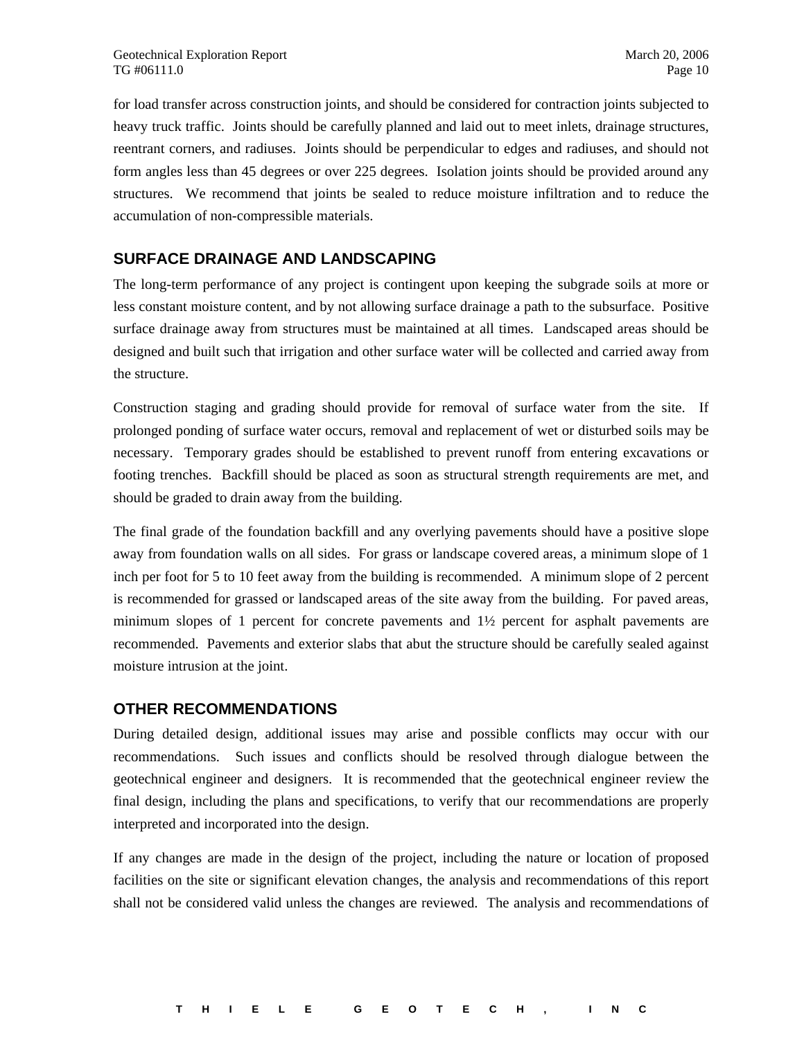for load transfer across construction joints, and should be considered for contraction joints subjected to heavy truck traffic. Joints should be carefully planned and laid out to meet inlets, drainage structures, reentrant corners, and radiuses. Joints should be perpendicular to edges and radiuses, and should not form angles less than 45 degrees or over 225 degrees. Isolation joints should be provided around any structures. We recommend that joints be sealed to reduce moisture infiltration and to reduce the accumulation of non-compressible materials.

#### **SURFACE DRAINAGE AND LANDSCAPING**

The long-term performance of any project is contingent upon keeping the subgrade soils at more or less constant moisture content, and by not allowing surface drainage a path to the subsurface. Positive surface drainage away from structures must be maintained at all times. Landscaped areas should be designed and built such that irrigation and other surface water will be collected and carried away from the structure.

Construction staging and grading should provide for removal of surface water from the site. If prolonged ponding of surface water occurs, removal and replacement of wet or disturbed soils may be necessary. Temporary grades should be established to prevent runoff from entering excavations or footing trenches. Backfill should be placed as soon as structural strength requirements are met, and should be graded to drain away from the building.

The final grade of the foundation backfill and any overlying pavements should have a positive slope away from foundation walls on all sides. For grass or landscape covered areas, a minimum slope of 1 inch per foot for 5 to 10 feet away from the building is recommended. A minimum slope of 2 percent is recommended for grassed or landscaped areas of the site away from the building. For paved areas, minimum slopes of 1 percent for concrete pavements and 1½ percent for asphalt pavements are recommended. Pavements and exterior slabs that abut the structure should be carefully sealed against moisture intrusion at the joint.

#### **OTHER RECOMMENDATIONS**

During detailed design, additional issues may arise and possible conflicts may occur with our recommendations. Such issues and conflicts should be resolved through dialogue between the geotechnical engineer and designers. It is recommended that the geotechnical engineer review the final design, including the plans and specifications, to verify that our recommendations are properly interpreted and incorporated into the design.

If any changes are made in the design of the project, including the nature or location of proposed facilities on the site or significant elevation changes, the analysis and recommendations of this report shall not be considered valid unless the changes are reviewed. The analysis and recommendations of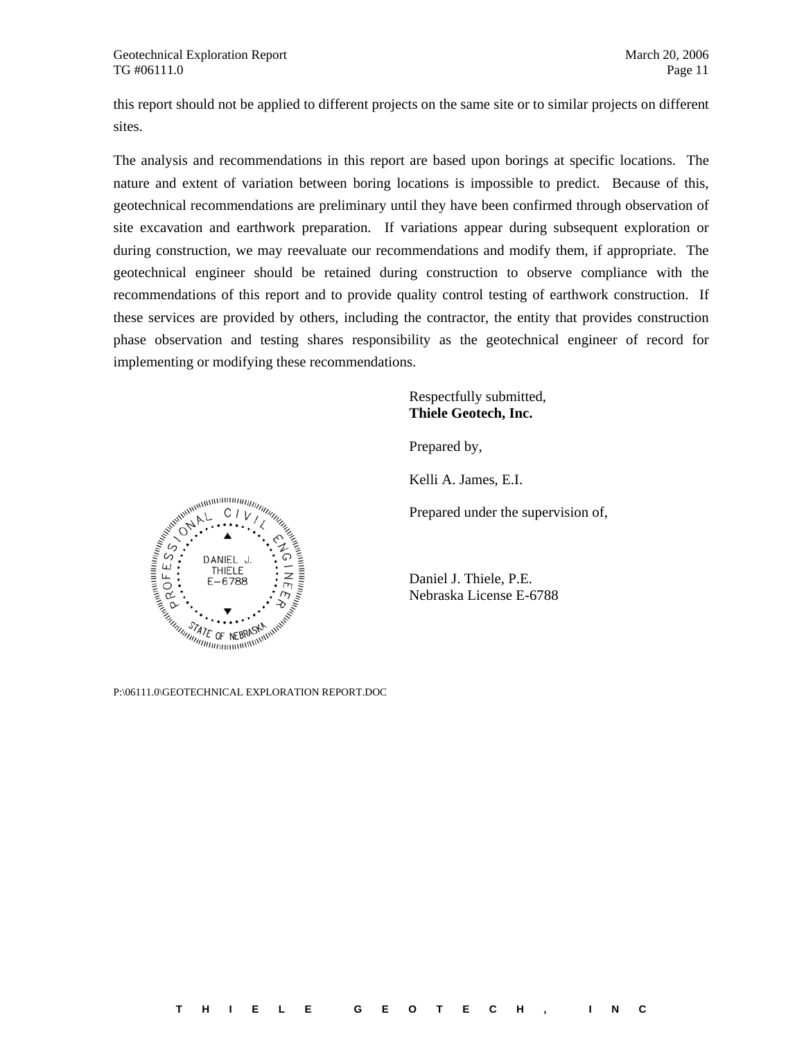this report should not be applied to different projects on the same site or to similar projects on different sites.

The analysis and recommendations in this report are based upon borings at specific locations. The nature and extent of variation between boring locations is impossible to predict. Because of this, geotechnical recommendations are preliminary until they have been confirmed through observation of site excavation and earthwork preparation. If variations appear during subsequent exploration or during construction, we may reevaluate our recommendations and modify them, if appropriate. The geotechnical engineer should be retained during construction to observe compliance with the recommendations of this report and to provide quality control testing of earthwork construction. If these services are provided by others, including the contractor, the entity that provides construction phase observation and testing shares responsibility as the geotechnical engineer of record for implementing or modifying these recommendations.

> Respectfully submitted, **Thiele Geotech, Inc.**

Prepared by,

Kelli A. James, E.I.

Daniel J. Thiele, P.E. Nebraska License E-6788

Prepared under the supervision of,



P:\06111.0\GEOTECHNICAL EXPLORATION REPORT.DOC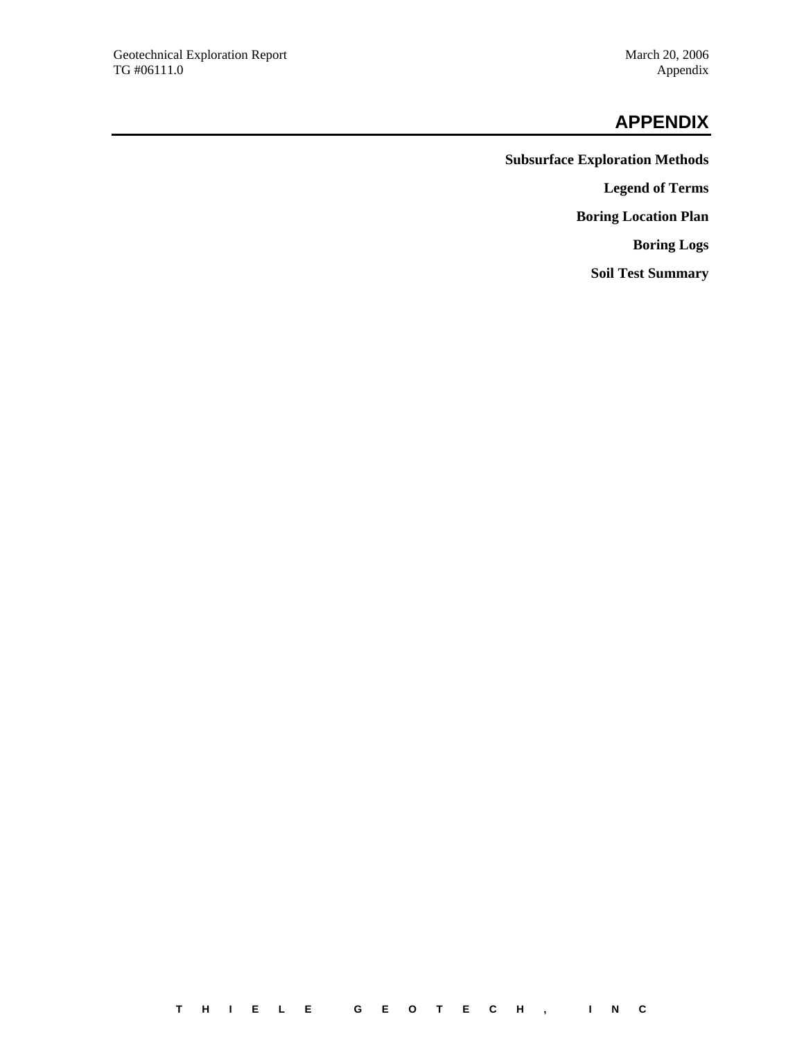#### **APPENDIX**

**Subsurface Exploration Methods Legend of Terms Boring Location Plan Boring Logs Soil Test Summary**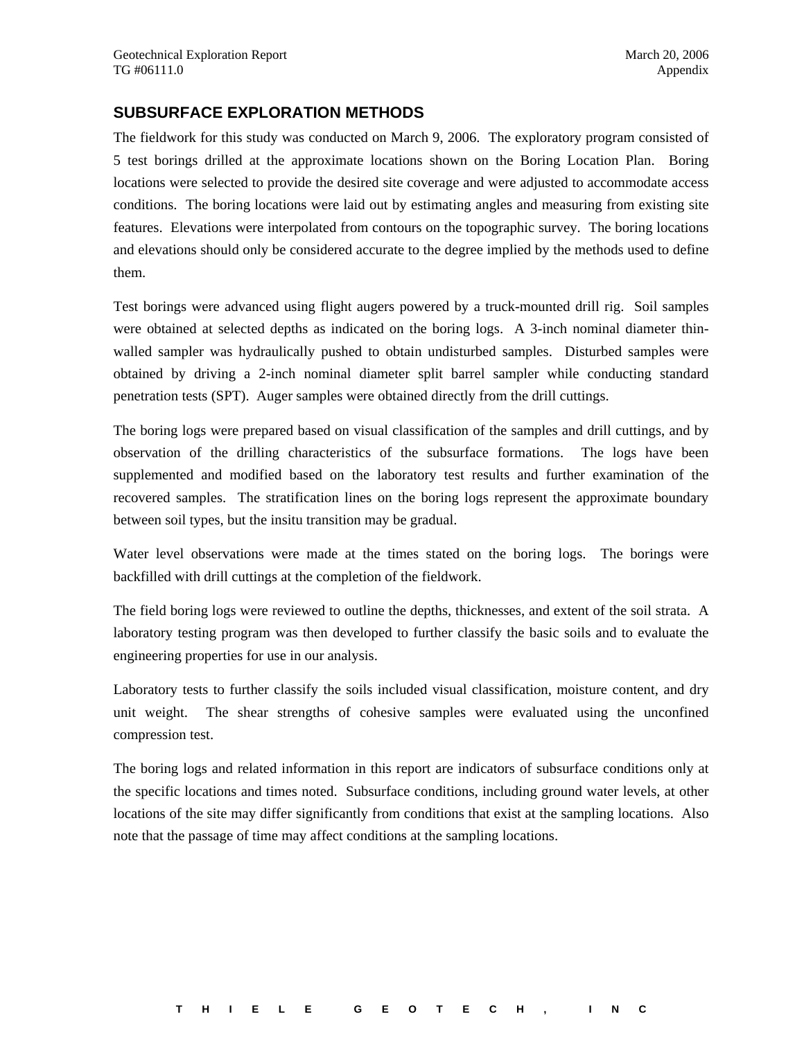#### **SUBSURFACE EXPLORATION METHODS**

The fieldwork for this study was conducted on March 9, 2006. The exploratory program consisted of 5 test borings drilled at the approximate locations shown on the Boring Location Plan. Boring locations were selected to provide the desired site coverage and were adjusted to accommodate access conditions. The boring locations were laid out by estimating angles and measuring from existing site features. Elevations were interpolated from contours on the topographic survey. The boring locations and elevations should only be considered accurate to the degree implied by the methods used to define them.

Test borings were advanced using flight augers powered by a truck-mounted drill rig. Soil samples were obtained at selected depths as indicated on the boring logs. A 3-inch nominal diameter thinwalled sampler was hydraulically pushed to obtain undisturbed samples. Disturbed samples were obtained by driving a 2-inch nominal diameter split barrel sampler while conducting standard penetration tests (SPT). Auger samples were obtained directly from the drill cuttings.

The boring logs were prepared based on visual classification of the samples and drill cuttings, and by observation of the drilling characteristics of the subsurface formations. The logs have been supplemented and modified based on the laboratory test results and further examination of the recovered samples. The stratification lines on the boring logs represent the approximate boundary between soil types, but the insitu transition may be gradual.

Water level observations were made at the times stated on the boring logs. The borings were backfilled with drill cuttings at the completion of the fieldwork.

The field boring logs were reviewed to outline the depths, thicknesses, and extent of the soil strata. A laboratory testing program was then developed to further classify the basic soils and to evaluate the engineering properties for use in our analysis.

Laboratory tests to further classify the soils included visual classification, moisture content, and dry unit weight. The shear strengths of cohesive samples were evaluated using the unconfined compression test.

The boring logs and related information in this report are indicators of subsurface conditions only at the specific locations and times noted. Subsurface conditions, including ground water levels, at other locations of the site may differ significantly from conditions that exist at the sampling locations. Also note that the passage of time may affect conditions at the sampling locations.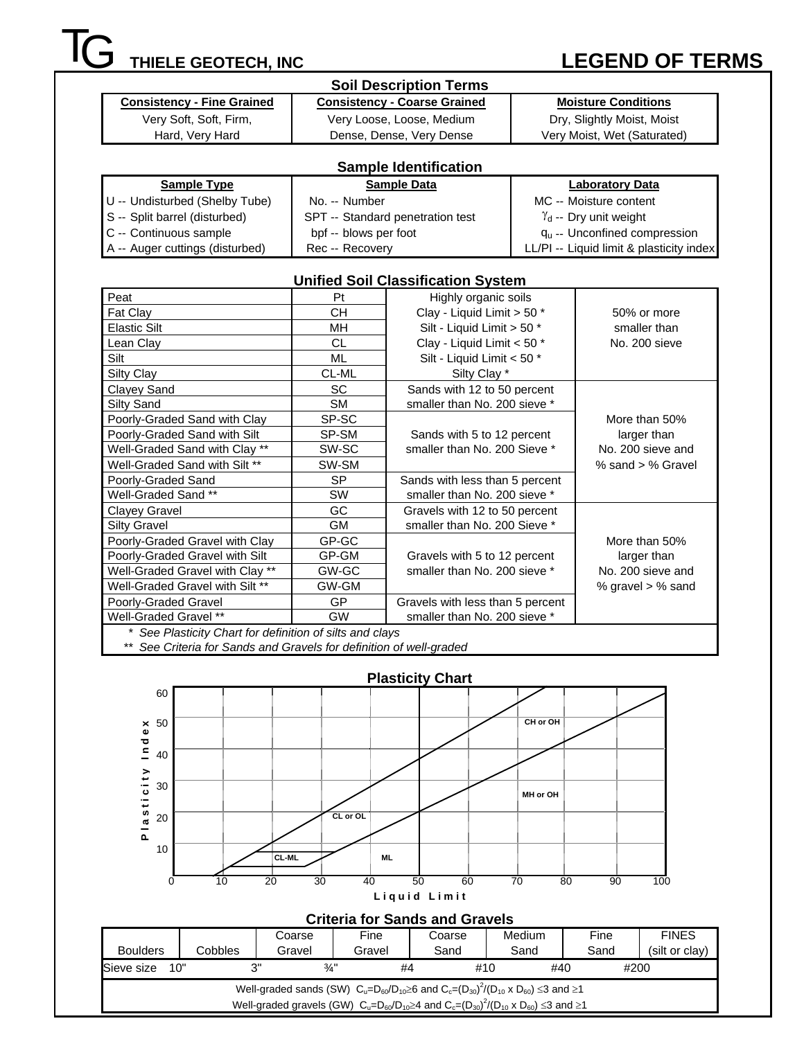## **IG** THIELE GEOTECH, INC LEGEND OF TERMS

|                                                          |                       | <b>Soil Description Terms</b>             |  |                                          |  |  |
|----------------------------------------------------------|-----------------------|-------------------------------------------|--|------------------------------------------|--|--|
| <b>Consistency - Fine Grained</b>                        |                       | <b>Consistency - Coarse Grained</b>       |  | <b>Moisture Conditions</b>               |  |  |
| Very Soft, Soft, Firm,                                   |                       | Very Loose, Loose, Medium                 |  | Dry, Slightly Moist, Moist               |  |  |
| Hard, Very Hard                                          |                       | Dense, Dense, Very Dense                  |  | Very Moist, Wet (Saturated)              |  |  |
|                                                          |                       |                                           |  |                                          |  |  |
|                                                          |                       | <b>Sample Identification</b>              |  |                                          |  |  |
| <b>Sample Type</b>                                       |                       | <b>Sample Data</b>                        |  | <b>Laboratory Data</b>                   |  |  |
| U -- Undisturbed (Shelby Tube)                           | No. -- Number         |                                           |  | MC -- Moisture content                   |  |  |
| S -- Split barrel (disturbed)                            |                       | SPT -- Standard penetration test          |  | $\gamma_d$ -- Dry unit weight            |  |  |
| C -- Continuous sample                                   | bpf -- blows per foot |                                           |  | $q_u -$ Unconfined compression           |  |  |
| A -- Auger cuttings (disturbed)                          | Rec -- Recovery       |                                           |  | LL/PI -- Liquid limit & plasticity index |  |  |
|                                                          |                       |                                           |  |                                          |  |  |
|                                                          |                       | <b>Unified Soil Classification System</b> |  |                                          |  |  |
| Peat                                                     | Pt                    | Highly organic soils                      |  |                                          |  |  |
| Fat Clay                                                 | <b>CH</b>             | Clay - Liquid Limit > 50 *                |  | 50% or more                              |  |  |
| <b>Elastic Silt</b>                                      | MH                    | Silt - Liquid Limit > 50 *                |  | smaller than                             |  |  |
| Lean Clay                                                | <b>CL</b>             | Clay - Liquid Limit < 50 *                |  | No. 200 sieve                            |  |  |
| Silt                                                     | <b>ML</b>             | Silt - Liquid Limit < 50 *                |  |                                          |  |  |
| Silty Clay                                               | CL-ML                 | Silty Clay *                              |  |                                          |  |  |
| Clayey Sand                                              | <b>SC</b>             | Sands with 12 to 50 percent               |  |                                          |  |  |
| Silty Sand                                               | <b>SM</b>             | smaller than No. 200 sieve *              |  |                                          |  |  |
| Poorly-Graded Sand with Clay                             | SP-SC                 |                                           |  | More than 50%                            |  |  |
| Poorly-Graded Sand with Silt                             | SP-SM                 | Sands with 5 to 12 percent                |  | larger than                              |  |  |
| Well-Graded Sand with Clay **                            | SW-SC                 | smaller than No. 200 Sieve *              |  | No. 200 sieve and                        |  |  |
| Well-Graded Sand with Silt **                            | SW-SM                 |                                           |  | % sand > % Gravel                        |  |  |
| Poorly-Graded Sand                                       | <b>SP</b>             | Sands with less than 5 percent            |  |                                          |  |  |
| Well-Graded Sand **                                      | SW                    | smaller than No. 200 sieve *              |  |                                          |  |  |
| Clayey Gravel                                            | GC                    | Gravels with 12 to 50 percent             |  |                                          |  |  |
| <b>Silty Gravel</b>                                      | <b>GM</b>             | smaller than No. 200 Sieve *              |  |                                          |  |  |
| Poorly-Graded Gravel with Clay                           | GP-GC                 |                                           |  | More than 50%                            |  |  |
| Poorly-Graded Gravel with Silt                           | GP-GM                 | Gravels with 5 to 12 percent              |  | larger than                              |  |  |
| Well-Graded Gravel with Clay **                          | GW-GC                 | smaller than No. 200 sieve *              |  | No. 200 sieve and                        |  |  |
| Well-Graded Gravel with Silt **                          | GW-GM                 |                                           |  | % gravel > % sand                        |  |  |
| Poorly-Graded Gravel                                     | GP                    | Gravels with less than 5 percent          |  |                                          |  |  |
| Well-Graded Gravel **                                    | <b>GW</b>             | smaller than No. 200 sieve *              |  |                                          |  |  |
| * See Plasticity Chart for definition of silts and clays |                       |                                           |  |                                          |  |  |

\*\* *See Criteria for Sands and Gravels for definition of well-graded* 



|                   | <b>Criteria for Sands and Gravels</b>                                                                                |                 |        |        |            |      |                |  |  |  |  |  |  |  |
|-------------------|----------------------------------------------------------------------------------------------------------------------|-----------------|--------|--------|------------|------|----------------|--|--|--|--|--|--|--|
|                   |                                                                                                                      | Coarse          | Fine   | Coarse | Medium     | Fine | <b>FINES</b>   |  |  |  |  |  |  |  |
| <b>Boulders</b>   | Cobbles                                                                                                              | Gravel          | Gravel | Sand   | Sand       | Sand | (silt or clay) |  |  |  |  |  |  |  |
| Sieve size<br>10" | າ"                                                                                                                   | $\frac{3}{4}$ " | #4     |        | #10<br>#40 | #200 |                |  |  |  |  |  |  |  |
|                   | Well-graded sands (SW) $C_u = D_{60}/D_{10} \ge 6$ and $C_c = (D_{30})^2/(D_{10} \times D_{60}) \le 3$ and $\ge 1$   |                 |        |        |            |      |                |  |  |  |  |  |  |  |
|                   | Well-graded gravels (GW) $C_u = D_{60}/D_{10} \ge 4$ and $C_c = (D_{30})^2/(D_{10} \times D_{60}) \le 3$ and $\ge 1$ |                 |        |        |            |      |                |  |  |  |  |  |  |  |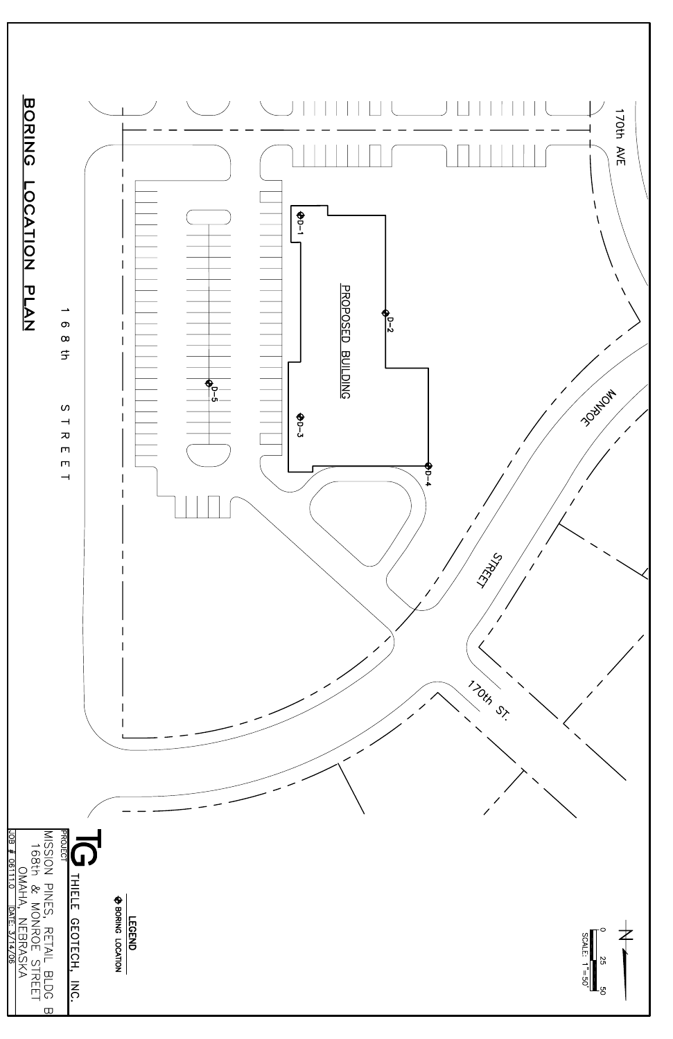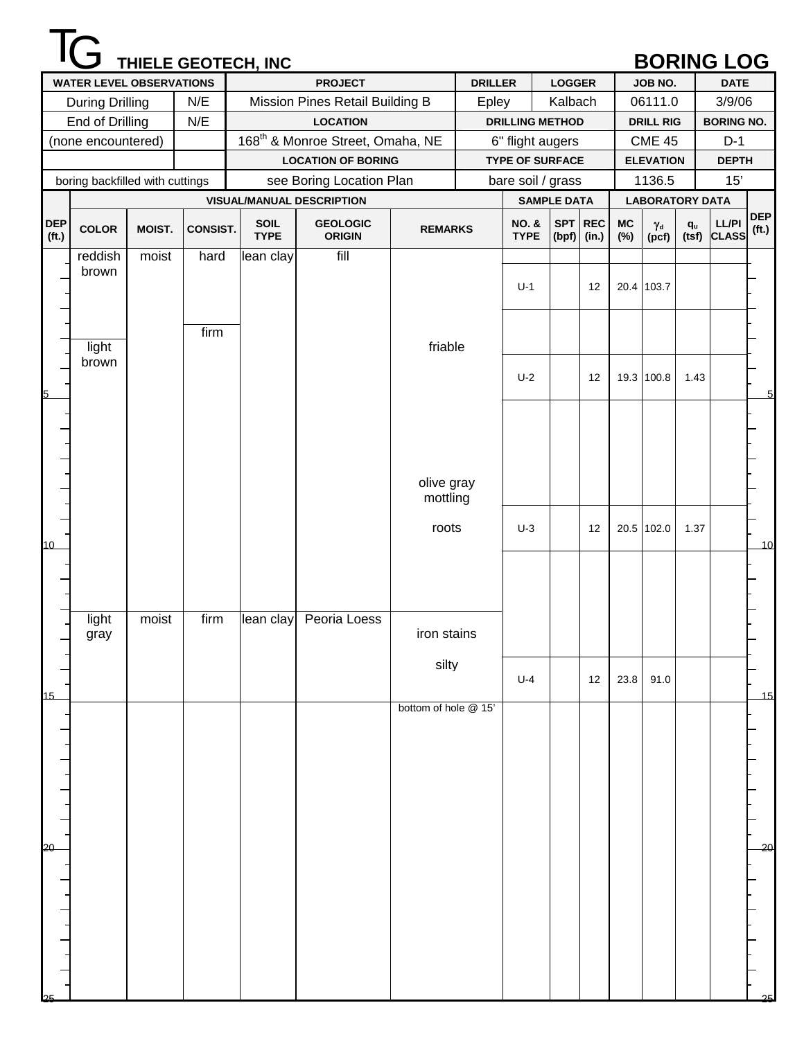|                                 |                                 |        |                 | THIELE GEOTECH, INC |                                              |                      |                |                                 |                    |         |           |                           |                         | <b>BORING LOG</b>    |                   |
|---------------------------------|---------------------------------|--------|-----------------|---------------------|----------------------------------------------|----------------------|----------------|---------------------------------|--------------------|---------|-----------|---------------------------|-------------------------|----------------------|-------------------|
|                                 | <b>WATER LEVEL OBSERVATIONS</b> |        |                 |                     | <b>PROJECT</b>                               |                      | <b>DRILLER</b> |                                 | <b>LOGGER</b>      |         |           | JOB NO.                   |                         | <b>DATE</b>          |                   |
|                                 | <b>During Drilling</b>          |        | N/E             |                     | Mission Pines Retail Building B              |                      | Epley          |                                 | Kalbach            |         |           | 06111.0                   |                         | 3/9/06               |                   |
|                                 | End of Drilling                 |        | N/E             |                     | <b>LOCATION</b>                              |                      |                | <b>DRILLING METHOD</b>          |                    |         |           | <b>DRILL RIG</b>          |                         | <b>BORING NO.</b>    |                   |
|                                 | (none encountered)              |        |                 |                     | 168 <sup>th</sup> & Monroe Street, Omaha, NE |                      |                | 6" flight augers                |                    |         |           | <b>CME 45</b>             |                         | $D-1$                |                   |
|                                 |                                 |        |                 |                     | <b>LOCATION OF BORING</b>                    |                      |                | <b>TYPE OF SURFACE</b>          |                    |         |           | <b>ELEVATION</b>          |                         | <b>DEPTH</b>         |                   |
|                                 | boring backfilled with cuttings |        |                 |                     | see Boring Location Plan                     |                      |                | bare soil / grass               |                    |         |           | 1136.5                    |                         | 15'                  |                   |
|                                 |                                 |        |                 |                     | <b>VISUAL/MANUAL DESCRIPTION</b>             |                      |                |                                 | <b>SAMPLE DATA</b> |         |           | <b>LABORATORY DATA</b>    |                         |                      | <b>DEP</b>        |
| <b>DEP</b><br>(f <sub>t</sub> ) | <b>COLOR</b>                    | MOIST. | <b>CONSIST.</b> | SOIL<br><b>TYPE</b> | <b>GEOLOGIC</b><br><b>ORIGIN</b>             | <b>REMARKS</b>       |                | <b>NO. &amp;</b><br><b>TYPE</b> | $(bpf)$ (in.)      | SPT REC | MC<br>(%) | $\gamma_{\rm d}$<br>(pcf) | $\mathbf{q}_\mathsf{u}$ | LL/PI<br>(tsf) CLASS | (f <sub>t</sub> ) |
|                                 | reddish<br>brown                | moist  | hard            | lean clay           | fill                                         |                      |                |                                 |                    |         |           |                           |                         |                      |                   |
|                                 |                                 |        |                 |                     |                                              |                      |                | $U-1$                           |                    | 12      |           | 20.4 103.7                |                         |                      |                   |
|                                 |                                 |        | firm            |                     |                                              |                      |                |                                 |                    |         |           |                           |                         |                      |                   |
|                                 | light                           |        |                 |                     |                                              | friable              |                |                                 |                    |         |           |                           |                         |                      |                   |
|                                 | brown                           |        |                 |                     |                                              |                      |                | $U-2$                           |                    | 12      |           | 19.3 100.8                | 1.43                    |                      |                   |
|                                 |                                 |        |                 |                     |                                              |                      |                |                                 |                    |         |           |                           |                         |                      | 5                 |
|                                 |                                 |        |                 |                     |                                              |                      |                |                                 |                    |         |           |                           |                         |                      |                   |
|                                 |                                 |        |                 |                     |                                              | olive gray           |                |                                 |                    |         |           |                           |                         |                      |                   |
|                                 |                                 |        |                 |                     |                                              | mottling             |                |                                 |                    |         |           |                           |                         |                      |                   |
| 10                              |                                 |        |                 |                     |                                              | roots                |                | $U-3$                           |                    | 12      |           | 20.5 102.0                | 1.37                    |                      | 10                |
|                                 |                                 |        |                 |                     |                                              |                      |                |                                 |                    |         |           |                           |                         |                      |                   |
|                                 |                                 |        |                 |                     |                                              |                      |                |                                 |                    |         |           |                           |                         |                      |                   |
|                                 | light<br>gray                   | moist  | firm            | lean clay           | Peoria Loess                                 | iron stains          |                |                                 |                    |         |           |                           |                         |                      |                   |
|                                 |                                 |        |                 |                     |                                              | silty                |                |                                 |                    |         |           |                           |                         |                      |                   |
| 15                              |                                 |        |                 |                     |                                              |                      |                | $U-4$                           |                    | 12      | 23.8      | 91.0                      |                         |                      | 15                |
|                                 |                                 |        |                 |                     |                                              | bottom of hole @ 15' |                |                                 |                    |         |           |                           |                         |                      |                   |
|                                 |                                 |        |                 |                     |                                              |                      |                |                                 |                    |         |           |                           |                         |                      |                   |
|                                 |                                 |        |                 |                     |                                              |                      |                |                                 |                    |         |           |                           |                         |                      |                   |
|                                 |                                 |        |                 |                     |                                              |                      |                |                                 |                    |         |           |                           |                         |                      |                   |
|                                 |                                 |        |                 |                     |                                              |                      |                |                                 |                    |         |           |                           |                         |                      |                   |
| 20                              |                                 |        |                 |                     |                                              |                      |                |                                 |                    |         |           |                           |                         |                      | 20                |
|                                 |                                 |        |                 |                     |                                              |                      |                |                                 |                    |         |           |                           |                         |                      |                   |
|                                 |                                 |        |                 |                     |                                              |                      |                |                                 |                    |         |           |                           |                         |                      |                   |
|                                 |                                 |        |                 |                     |                                              |                      |                |                                 |                    |         |           |                           |                         |                      |                   |
|                                 |                                 |        |                 |                     |                                              |                      |                |                                 |                    |         |           |                           |                         |                      |                   |
|                                 |                                 |        |                 |                     |                                              |                      |                |                                 |                    |         |           |                           |                         |                      | 25                |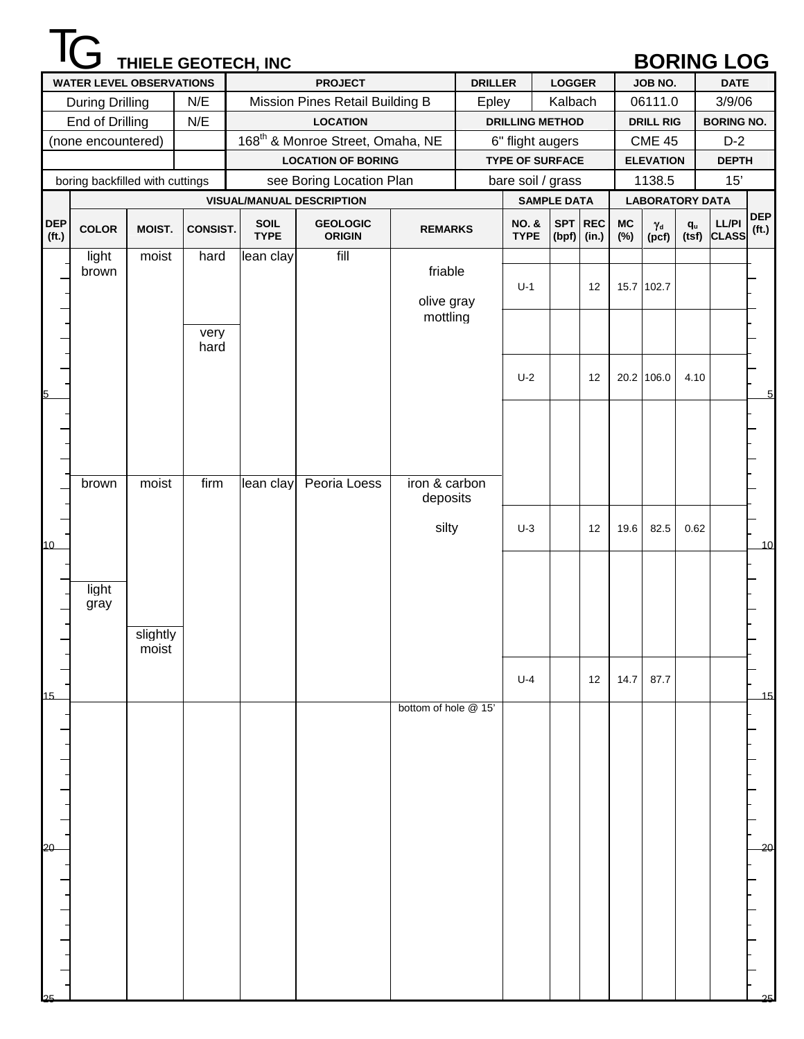|                                 |                                 |          |                 | THIELE GEOTECH, INC |                                              |                      |                |                                 |                    |                          |                  |                           |                         | <b>BORING LOG</b>    |                                 |
|---------------------------------|---------------------------------|----------|-----------------|---------------------|----------------------------------------------|----------------------|----------------|---------------------------------|--------------------|--------------------------|------------------|---------------------------|-------------------------|----------------------|---------------------------------|
|                                 | <b>WATER LEVEL OBSERVATIONS</b> |          |                 |                     | <b>PROJECT</b>                               |                      | <b>DRILLER</b> |                                 | <b>LOGGER</b>      |                          |                  | JOB NO.                   |                         | <b>DATE</b>          |                                 |
|                                 | <b>During Drilling</b>          |          | N/E             |                     | Mission Pines Retail Building B              |                      | Epley          |                                 | Kalbach            |                          |                  | 06111.0                   |                         | 3/9/06               |                                 |
|                                 | End of Drilling                 |          | N/E             |                     | <b>LOCATION</b>                              |                      |                | <b>DRILLING METHOD</b>          |                    |                          |                  | <b>DRILL RIG</b>          |                         | <b>BORING NO.</b>    |                                 |
|                                 | (none encountered)              |          |                 |                     | 168 <sup>th</sup> & Monroe Street, Omaha, NE |                      |                | 6" flight augers                |                    |                          |                  | <b>CME 45</b>             |                         | $D-2$                |                                 |
|                                 |                                 |          |                 |                     | <b>LOCATION OF BORING</b>                    |                      |                | <b>TYPE OF SURFACE</b>          |                    |                          |                  | <b>ELEVATION</b>          |                         | <b>DEPTH</b>         |                                 |
|                                 | boring backfilled with cuttings |          |                 |                     | see Boring Location Plan                     |                      |                | bare soil / grass               |                    |                          |                  | 1138.5                    |                         | 15'                  |                                 |
|                                 |                                 |          |                 |                     | <b>VISUAL/MANUAL DESCRIPTION</b>             |                      |                |                                 | <b>SAMPLE DATA</b> |                          |                  | <b>LABORATORY DATA</b>    |                         |                      |                                 |
| <b>DEP</b><br>(f <sub>t</sub> ) | <b>COLOR</b>                    | MOIST.   | <b>CONSIST.</b> | SOIL<br><b>TYPE</b> | <b>GEOLOGIC</b><br><b>ORIGIN</b>             | <b>REMARKS</b>       |                | <b>NO. &amp;</b><br><b>TYPE</b> |                    | SPT REC<br>$(bpf)$ (in.) | <b>MC</b><br>(%) | $\gamma_{\rm d}$<br>(pcf) | $\mathbf{q}_\mathsf{u}$ | LL/PI<br>(tsf) CLASS | <b>DEP</b><br>(f <sub>t</sub> ) |
|                                 | light                           | moist    | hard            | lean clay           | fill                                         |                      |                |                                 |                    |                          |                  |                           |                         |                      |                                 |
|                                 | brown                           |          |                 |                     |                                              | friable              |                | $U-1$                           |                    | 12                       |                  | 15.7 102.7                |                         |                      |                                 |
|                                 |                                 |          |                 |                     |                                              | olive gray           |                |                                 |                    |                          |                  |                           |                         |                      |                                 |
|                                 |                                 |          |                 |                     |                                              | mottling             |                |                                 |                    |                          |                  |                           |                         |                      |                                 |
|                                 |                                 |          | very<br>hard    |                     |                                              |                      |                |                                 |                    |                          |                  |                           |                         |                      |                                 |
|                                 |                                 |          |                 |                     |                                              |                      |                |                                 |                    |                          |                  |                           |                         |                      |                                 |
|                                 |                                 |          |                 |                     |                                              |                      |                | $U-2$                           |                    | 12                       |                  | 20.2 106.0                | 4.10                    |                      |                                 |
|                                 |                                 |          |                 |                     |                                              |                      |                |                                 |                    |                          |                  |                           |                         |                      | 5                               |
|                                 |                                 |          |                 |                     |                                              |                      |                |                                 |                    |                          |                  |                           |                         |                      |                                 |
|                                 |                                 |          |                 |                     |                                              |                      |                |                                 |                    |                          |                  |                           |                         |                      |                                 |
|                                 |                                 |          |                 |                     |                                              |                      |                |                                 |                    |                          |                  |                           |                         |                      |                                 |
|                                 | brown                           | moist    | firm            | lean clay           | Peoria Loess                                 | iron & carbon        |                |                                 |                    |                          |                  |                           |                         |                      |                                 |
|                                 |                                 |          |                 |                     |                                              | deposits             |                |                                 |                    |                          |                  |                           |                         |                      |                                 |
|                                 |                                 |          |                 |                     |                                              |                      |                |                                 |                    |                          |                  |                           |                         |                      |                                 |
| 10                              |                                 |          |                 |                     |                                              | silty                |                | $U-3$                           |                    | 12                       | 19.6             | 82.5                      | 0.62                    |                      | 10                              |
|                                 |                                 |          |                 |                     |                                              |                      |                |                                 |                    |                          |                  |                           |                         |                      |                                 |
|                                 |                                 |          |                 |                     |                                              |                      |                |                                 |                    |                          |                  |                           |                         |                      |                                 |
|                                 | light<br>gray                   |          |                 |                     |                                              |                      |                |                                 |                    |                          |                  |                           |                         |                      |                                 |
|                                 |                                 |          |                 |                     |                                              |                      |                |                                 |                    |                          |                  |                           |                         |                      |                                 |
|                                 |                                 | slightly |                 |                     |                                              |                      |                |                                 |                    |                          |                  |                           |                         |                      |                                 |
|                                 |                                 | moist    |                 |                     |                                              |                      |                |                                 |                    |                          |                  |                           |                         |                      |                                 |
|                                 |                                 |          |                 |                     |                                              |                      |                | $U-4$                           |                    | 12                       | 14.7             | 87.7                      |                         |                      |                                 |
| 15                              |                                 |          |                 |                     |                                              |                      |                |                                 |                    |                          |                  |                           |                         |                      | 15                              |
|                                 |                                 |          |                 |                     |                                              | bottom of hole @ 15' |                |                                 |                    |                          |                  |                           |                         |                      |                                 |
|                                 |                                 |          |                 |                     |                                              |                      |                |                                 |                    |                          |                  |                           |                         |                      |                                 |
|                                 |                                 |          |                 |                     |                                              |                      |                |                                 |                    |                          |                  |                           |                         |                      |                                 |
|                                 |                                 |          |                 |                     |                                              |                      |                |                                 |                    |                          |                  |                           |                         |                      |                                 |
|                                 |                                 |          |                 |                     |                                              |                      |                |                                 |                    |                          |                  |                           |                         |                      |                                 |
|                                 |                                 |          |                 |                     |                                              |                      |                |                                 |                    |                          |                  |                           |                         |                      |                                 |
|                                 |                                 |          |                 |                     |                                              |                      |                |                                 |                    |                          |                  |                           |                         |                      |                                 |
| 20                              |                                 |          |                 |                     |                                              |                      |                |                                 |                    |                          |                  |                           |                         |                      | 20                              |
|                                 |                                 |          |                 |                     |                                              |                      |                |                                 |                    |                          |                  |                           |                         |                      |                                 |
|                                 |                                 |          |                 |                     |                                              |                      |                |                                 |                    |                          |                  |                           |                         |                      |                                 |
|                                 |                                 |          |                 |                     |                                              |                      |                |                                 |                    |                          |                  |                           |                         |                      |                                 |
|                                 |                                 |          |                 |                     |                                              |                      |                |                                 |                    |                          |                  |                           |                         |                      |                                 |
|                                 |                                 |          |                 |                     |                                              |                      |                |                                 |                    |                          |                  |                           |                         |                      |                                 |
|                                 |                                 |          |                 |                     |                                              |                      |                |                                 |                    |                          |                  |                           |                         |                      |                                 |
| つら                              |                                 |          |                 |                     |                                              |                      |                |                                 |                    |                          |                  |                           |                         |                      | 25                              |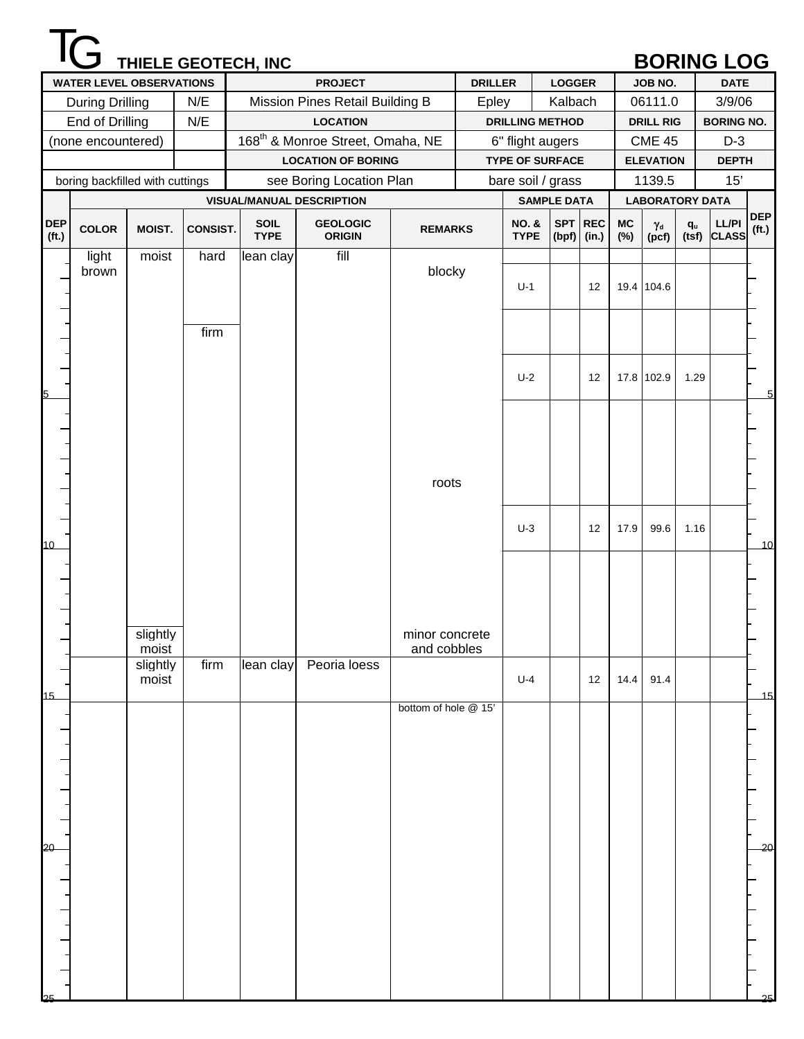|                                 |                                 |                   |                 | THIELE GEOTECH, INC |                                              |                               |                |                                 |                    |         |           |                           |                         | <b>BORING LOG</b>           |                                 |
|---------------------------------|---------------------------------|-------------------|-----------------|---------------------|----------------------------------------------|-------------------------------|----------------|---------------------------------|--------------------|---------|-----------|---------------------------|-------------------------|-----------------------------|---------------------------------|
|                                 | <b>WATER LEVEL OBSERVATIONS</b> |                   |                 |                     | <b>PROJECT</b>                               |                               | <b>DRILLER</b> |                                 | <b>LOGGER</b>      |         |           | JOB NO.                   |                         | <b>DATE</b>                 |                                 |
|                                 | <b>During Drilling</b>          |                   | N/E             |                     | Mission Pines Retail Building B              |                               | Epley          |                                 | Kalbach            |         |           | 06111.0                   |                         | 3/9/06                      |                                 |
|                                 | End of Drilling                 |                   | N/E             |                     | <b>LOCATION</b>                              |                               |                | <b>DRILLING METHOD</b>          |                    |         |           | <b>DRILL RIG</b>          |                         | <b>BORING NO.</b>           |                                 |
|                                 | (none encountered)              |                   |                 |                     | 168 <sup>th</sup> & Monroe Street, Omaha, NE |                               |                | 6" flight augers                |                    |         |           | <b>CME 45</b>             |                         | $D-3$                       |                                 |
|                                 |                                 |                   |                 |                     | <b>LOCATION OF BORING</b>                    |                               |                | <b>TYPE OF SURFACE</b>          |                    |         |           | <b>ELEVATION</b>          |                         | <b>DEPTH</b>                |                                 |
|                                 | boring backfilled with cuttings |                   |                 |                     | see Boring Location Plan                     |                               |                | bare soil / grass               |                    |         |           | 1139.5                    |                         | 15'                         |                                 |
|                                 |                                 |                   |                 |                     | <b>VISUAL/MANUAL DESCRIPTION</b>             |                               |                |                                 | <b>SAMPLE DATA</b> |         |           | <b>LABORATORY DATA</b>    |                         |                             |                                 |
| <b>DEP</b><br>(f <sub>t</sub> ) | <b>COLOR</b>                    | MOIST.            | <b>CONSIST.</b> | SOIL<br><b>TYPE</b> | <b>GEOLOGIC</b><br><b>ORIGIN</b>             | <b>REMARKS</b>                |                | <b>NO. &amp;</b><br><b>TYPE</b> | $(bpf)$ (in.)      | SPT REC | MC<br>(%) | $\gamma_{\rm d}$<br>(pcf) | $\mathbf{q}_\mathrm{u}$ | <b>LL/PI</b><br>(tsf) CLASS | <b>DEP</b><br>(f <sub>t</sub> ) |
|                                 | light<br>brown                  | moist             | hard            | lean clay           | fill                                         | blocky                        |                | $U-1$                           |                    | 12      |           | 19.4 104.6                |                         |                             |                                 |
|                                 |                                 |                   | firm            |                     |                                              |                               |                |                                 |                    |         |           |                           |                         |                             |                                 |
|                                 |                                 |                   |                 |                     |                                              |                               |                | $U-2$                           |                    | 12      |           | 17.8 102.9                | 1.29                    |                             | 5                               |
|                                 |                                 |                   |                 |                     |                                              |                               |                |                                 |                    |         |           |                           |                         |                             |                                 |
|                                 |                                 |                   |                 |                     |                                              | roots                         |                |                                 |                    |         |           |                           |                         |                             |                                 |
| 10 <sup>1</sup>                 |                                 |                   |                 |                     |                                              |                               |                | $U-3$                           |                    | 12      | 17.9      | 99.6                      | 1.16                    |                             | 10                              |
|                                 |                                 |                   |                 |                     |                                              |                               |                |                                 |                    |         |           |                           |                         |                             |                                 |
|                                 |                                 | slightly<br>moist |                 |                     |                                              | minor concrete<br>and cobbles |                |                                 |                    |         |           |                           |                         |                             |                                 |
| 15                              |                                 | slightly<br>moist | firm            | lean clay           | Peoria loess                                 |                               |                | $U-4$                           |                    | 12      | 14.4      | 91.4                      |                         |                             | 15                              |
|                                 |                                 |                   |                 |                     |                                              | bottom of hole @ 15'          |                |                                 |                    |         |           |                           |                         |                             |                                 |
| 20                              |                                 |                   |                 |                     |                                              |                               |                |                                 |                    |         |           |                           |                         |                             | 20                              |
|                                 |                                 |                   |                 |                     |                                              |                               |                |                                 |                    |         |           |                           |                         |                             | 25                              |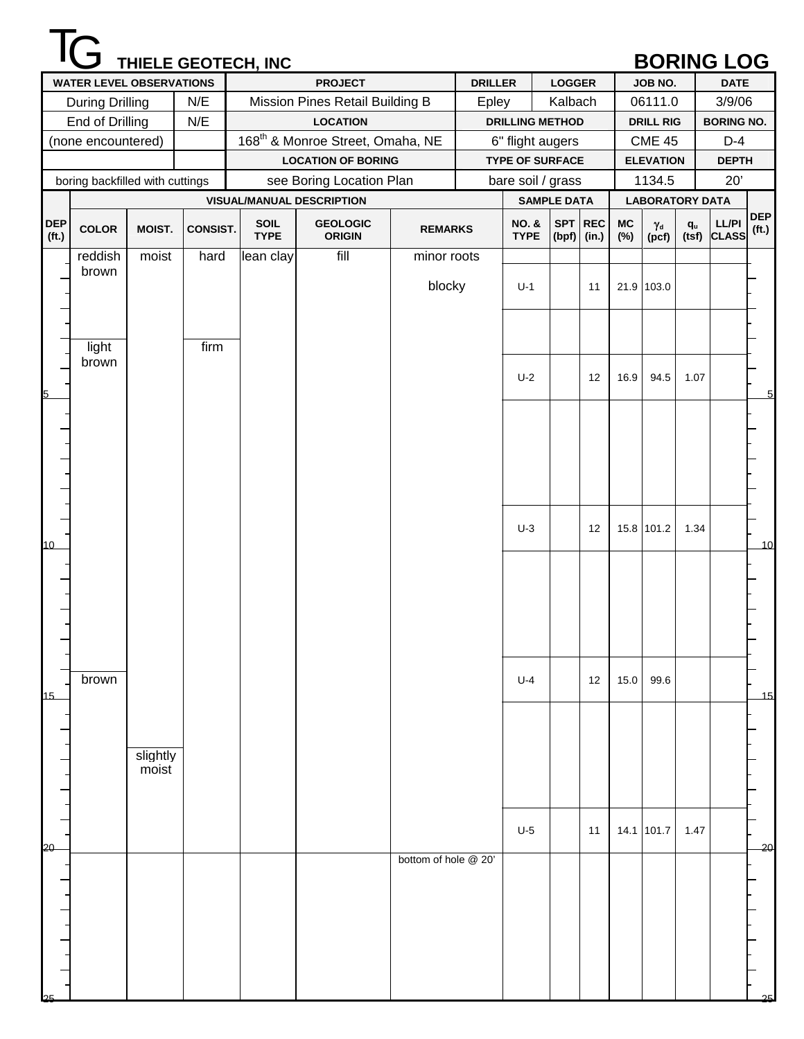|                                 |                                 |          |                 | THIELE GEOTECH, INC |                                              |                      |                |                                 |               |         |           |                           |                         | <b>BORING LOG</b>           |                                 |
|---------------------------------|---------------------------------|----------|-----------------|---------------------|----------------------------------------------|----------------------|----------------|---------------------------------|---------------|---------|-----------|---------------------------|-------------------------|-----------------------------|---------------------------------|
|                                 | <b>WATER LEVEL OBSERVATIONS</b> |          |                 |                     | <b>PROJECT</b>                               |                      | <b>DRILLER</b> |                                 | <b>LOGGER</b> |         |           | JOB NO.                   |                         | <b>DATE</b>                 |                                 |
|                                 | <b>During Drilling</b>          |          | N/E             |                     | Mission Pines Retail Building B              |                      | Epley          |                                 | Kalbach       |         |           | 06111.0                   |                         | 3/9/06                      |                                 |
|                                 | End of Drilling                 |          | N/E             |                     | <b>LOCATION</b>                              |                      |                | <b>DRILLING METHOD</b>          |               |         |           | <b>DRILL RIG</b>          |                         | <b>BORING NO.</b>           |                                 |
|                                 | (none encountered)              |          |                 |                     | 168 <sup>th</sup> & Monroe Street, Omaha, NE |                      |                | 6" flight augers                |               |         |           | <b>CME 45</b>             |                         | $D-4$                       |                                 |
|                                 |                                 |          |                 |                     | <b>LOCATION OF BORING</b>                    |                      |                | <b>TYPE OF SURFACE</b>          |               |         |           | <b>ELEVATION</b>          |                         | <b>DEPTH</b>                |                                 |
|                                 | boring backfilled with cuttings |          |                 |                     | see Boring Location Plan                     |                      |                | bare soil / grass               |               |         |           | 1134.5                    |                         | 20'                         |                                 |
|                                 |                                 |          |                 |                     | <b>VISUAL/MANUAL DESCRIPTION</b>             |                      |                | <b>SAMPLE DATA</b>              |               |         |           | <b>LABORATORY DATA</b>    |                         |                             |                                 |
| <b>DEP</b><br>(f <sub>t</sub> ) | <b>COLOR</b>                    | MOIST.   | <b>CONSIST.</b> | SOIL<br><b>TYPE</b> | <b>GEOLOGIC</b><br><b>ORIGIN</b>             | <b>REMARKS</b>       |                | <b>NO. &amp;</b><br><b>TYPE</b> | $(bpf)$ (in.) | SPT REC | MC<br>(%) | $\gamma_{\rm d}$<br>(pcf) | $\mathbf{q}_\mathsf{u}$ | <b>LL/PI</b><br>(tsf) CLASS | <b>DEP</b><br>(f <sub>t</sub> ) |
|                                 | reddish                         | moist    | hard            | lean clay           | fill                                         | minor roots          |                |                                 |               |         |           |                           |                         |                             |                                 |
|                                 | brown                           |          |                 |                     |                                              | blocky               |                | $U-1$                           |               | 11      |           | 21.9 103.0                |                         |                             |                                 |
|                                 | light                           |          | firm            |                     |                                              |                      |                |                                 |               |         |           |                           |                         |                             |                                 |
|                                 | brown                           |          |                 |                     |                                              |                      |                | $U-2$                           |               | 12      | 16.9      | 94.5                      | 1.07                    |                             |                                 |
|                                 |                                 |          |                 |                     |                                              |                      |                |                                 |               |         |           |                           |                         |                             | 5                               |
|                                 |                                 |          |                 |                     |                                              |                      |                |                                 |               |         |           |                           |                         |                             |                                 |
|                                 |                                 |          |                 |                     |                                              |                      |                |                                 |               |         |           |                           |                         |                             |                                 |
| 10 <sup>1</sup>                 |                                 |          |                 |                     |                                              |                      |                | $U-3$                           |               | 12      |           | 15.8 101.2                | 1.34                    |                             | 10                              |
|                                 |                                 |          |                 |                     |                                              |                      |                |                                 |               |         |           |                           |                         |                             |                                 |
|                                 |                                 |          |                 |                     |                                              |                      |                |                                 |               |         |           |                           |                         |                             |                                 |
|                                 | brown                           |          |                 |                     |                                              |                      |                | $U-4$                           |               | 12      | 15.0      | 99.6                      |                         |                             |                                 |
| 15                              |                                 |          |                 |                     |                                              |                      |                |                                 |               |         |           |                           |                         |                             | 15                              |
|                                 |                                 | slightly |                 |                     |                                              |                      |                |                                 |               |         |           |                           |                         |                             |                                 |
|                                 |                                 | moist    |                 |                     |                                              |                      |                |                                 |               |         |           |                           |                         |                             |                                 |
| 20                              |                                 |          |                 |                     |                                              |                      |                | $U-5$                           |               | 11      |           | 14.1 101.7                | 1.47                    |                             | 20                              |
|                                 |                                 |          |                 |                     |                                              | bottom of hole @ 20' |                |                                 |               |         |           |                           |                         |                             |                                 |
|                                 |                                 |          |                 |                     |                                              |                      |                |                                 |               |         |           |                           |                         |                             |                                 |
|                                 |                                 |          |                 |                     |                                              |                      |                |                                 |               |         |           |                           |                         |                             |                                 |
|                                 |                                 |          |                 |                     |                                              |                      |                |                                 |               |         |           |                           |                         |                             | 25                              |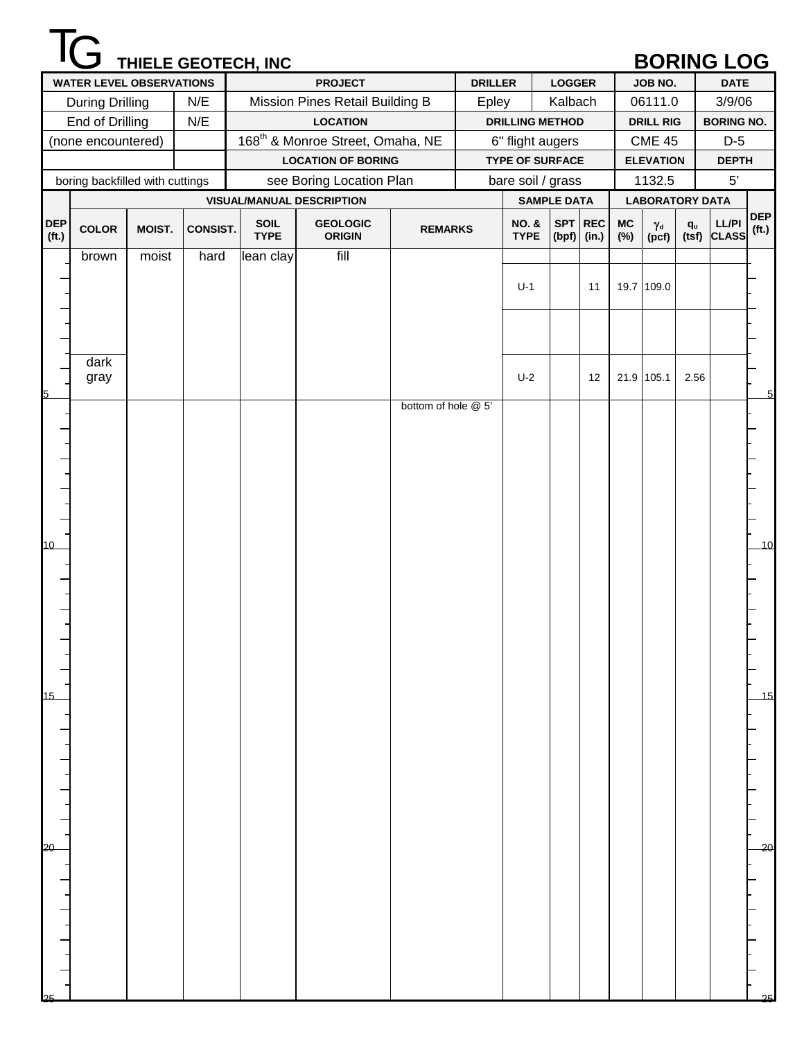|                                 |                                 |        |                 | THIELE GEOTECH, INC |                                              |                     |                |                                 |               |         |             |                           |       | <b>BORING LOG</b>           |                     |
|---------------------------------|---------------------------------|--------|-----------------|---------------------|----------------------------------------------|---------------------|----------------|---------------------------------|---------------|---------|-------------|---------------------------|-------|-----------------------------|---------------------|
|                                 | <b>WATER LEVEL OBSERVATIONS</b> |        |                 |                     | <b>PROJECT</b>                               |                     | <b>DRILLER</b> |                                 | <b>LOGGER</b> |         |             | JOB NO.                   |       | <b>DATE</b>                 |                     |
|                                 | <b>During Drilling</b>          |        | N/E             |                     | Mission Pines Retail Building B              |                     | Epley          |                                 | Kalbach       |         |             | 06111.0                   |       | 3/9/06                      |                     |
|                                 | End of Drilling                 |        | N/E             |                     | <b>LOCATION</b>                              |                     |                | <b>DRILLING METHOD</b>          |               |         |             | <b>DRILL RIG</b>          |       | <b>BORING NO.</b>           |                     |
|                                 | (none encountered)              |        |                 |                     | 168 <sup>th</sup> & Monroe Street, Omaha, NE |                     |                | 6" flight augers                |               |         |             | <b>CME 45</b>             |       | $D-5$                       |                     |
|                                 |                                 |        |                 |                     | <b>LOCATION OF BORING</b>                    |                     |                | <b>TYPE OF SURFACE</b>          |               |         |             | <b>ELEVATION</b>          |       | <b>DEPTH</b>                |                     |
|                                 | boring backfilled with cuttings |        |                 |                     | see Boring Location Plan                     |                     |                | bare soil / grass               |               |         |             | 1132.5                    |       | 5'                          |                     |
|                                 |                                 |        |                 |                     | <b>VISUAL/MANUAL DESCRIPTION</b>             |                     |                | <b>SAMPLE DATA</b>              |               |         |             |                           |       | <b>LABORATORY DATA</b>      |                     |
| <b>DEP</b><br>(f <sub>t</sub> ) | <b>COLOR</b>                    | MOIST. | <b>CONSIST.</b> | SOIL<br><b>TYPE</b> | <b>GEOLOGIC</b><br><b>ORIGIN</b>             | <b>REMARKS</b>      |                | <b>NO. &amp;</b><br><b>TYPE</b> | $(bpf)$ (in.) | SPT REC | $MC$<br>(%) | $\gamma_{\rm d}$<br>(pcf) | $q_u$ | <b>LL/PI</b><br>(tsf) CLASS | <b>DEP</b><br>(ft.) |
|                                 | brown                           | moist  | hard            | lean clay           | fill                                         |                     |                |                                 |               |         |             |                           |       |                             |                     |
|                                 |                                 |        |                 |                     |                                              |                     |                | $U-1$                           |               | 11      |             | 19.7 109.0                |       |                             |                     |
|                                 |                                 |        |                 |                     |                                              |                     |                |                                 |               |         |             |                           |       |                             |                     |
|                                 |                                 |        |                 |                     |                                              |                     |                |                                 |               |         |             |                           |       |                             |                     |
|                                 |                                 |        |                 |                     |                                              |                     |                |                                 |               |         |             |                           |       |                             |                     |
|                                 | dark                            |        |                 |                     |                                              |                     |                |                                 |               |         |             |                           |       |                             |                     |
|                                 | gray                            |        |                 |                     |                                              |                     |                | $U-2$                           |               | 12      |             | 21.9 105.1                | 2.56  |                             |                     |
| 5                               |                                 |        |                 |                     |                                              | bottom of hole @ 5' |                |                                 |               |         |             |                           |       |                             | 5                   |
|                                 |                                 |        |                 |                     |                                              |                     |                |                                 |               |         |             |                           |       |                             |                     |
|                                 |                                 |        |                 |                     |                                              |                     |                |                                 |               |         |             |                           |       |                             |                     |
|                                 |                                 |        |                 |                     |                                              |                     |                |                                 |               |         |             |                           |       |                             |                     |
|                                 |                                 |        |                 |                     |                                              |                     |                |                                 |               |         |             |                           |       |                             |                     |
|                                 |                                 |        |                 |                     |                                              |                     |                |                                 |               |         |             |                           |       |                             |                     |
|                                 |                                 |        |                 |                     |                                              |                     |                |                                 |               |         |             |                           |       |                             |                     |
| 10                              |                                 |        |                 |                     |                                              |                     |                |                                 |               |         |             |                           |       |                             | 10                  |
|                                 |                                 |        |                 |                     |                                              |                     |                |                                 |               |         |             |                           |       |                             |                     |
|                                 |                                 |        |                 |                     |                                              |                     |                |                                 |               |         |             |                           |       |                             |                     |
|                                 |                                 |        |                 |                     |                                              |                     |                |                                 |               |         |             |                           |       |                             |                     |
|                                 |                                 |        |                 |                     |                                              |                     |                |                                 |               |         |             |                           |       |                             |                     |
|                                 |                                 |        |                 |                     |                                              |                     |                |                                 |               |         |             |                           |       |                             |                     |
|                                 |                                 |        |                 |                     |                                              |                     |                |                                 |               |         |             |                           |       |                             |                     |
|                                 |                                 |        |                 |                     |                                              |                     |                |                                 |               |         |             |                           |       |                             |                     |
| 15                              |                                 |        |                 |                     |                                              |                     |                |                                 |               |         |             |                           |       |                             | 15                  |
|                                 |                                 |        |                 |                     |                                              |                     |                |                                 |               |         |             |                           |       |                             |                     |
|                                 |                                 |        |                 |                     |                                              |                     |                |                                 |               |         |             |                           |       |                             |                     |
|                                 |                                 |        |                 |                     |                                              |                     |                |                                 |               |         |             |                           |       |                             |                     |
|                                 |                                 |        |                 |                     |                                              |                     |                |                                 |               |         |             |                           |       |                             |                     |
|                                 |                                 |        |                 |                     |                                              |                     |                |                                 |               |         |             |                           |       |                             |                     |
|                                 |                                 |        |                 |                     |                                              |                     |                |                                 |               |         |             |                           |       |                             |                     |
| 20                              |                                 |        |                 |                     |                                              |                     |                |                                 |               |         |             |                           |       |                             | $\overline{20}$     |
|                                 |                                 |        |                 |                     |                                              |                     |                |                                 |               |         |             |                           |       |                             |                     |
|                                 |                                 |        |                 |                     |                                              |                     |                |                                 |               |         |             |                           |       |                             |                     |
|                                 |                                 |        |                 |                     |                                              |                     |                |                                 |               |         |             |                           |       |                             |                     |
|                                 |                                 |        |                 |                     |                                              |                     |                |                                 |               |         |             |                           |       |                             |                     |
|                                 |                                 |        |                 |                     |                                              |                     |                |                                 |               |         |             |                           |       |                             |                     |
|                                 |                                 |        |                 |                     |                                              |                     |                |                                 |               |         |             |                           |       |                             |                     |
|                                 |                                 |        |                 |                     |                                              |                     |                |                                 |               |         |             |                           |       |                             |                     |
| つら                              |                                 |        |                 |                     |                                              |                     |                |                                 |               |         |             |                           |       |                             | 25                  |